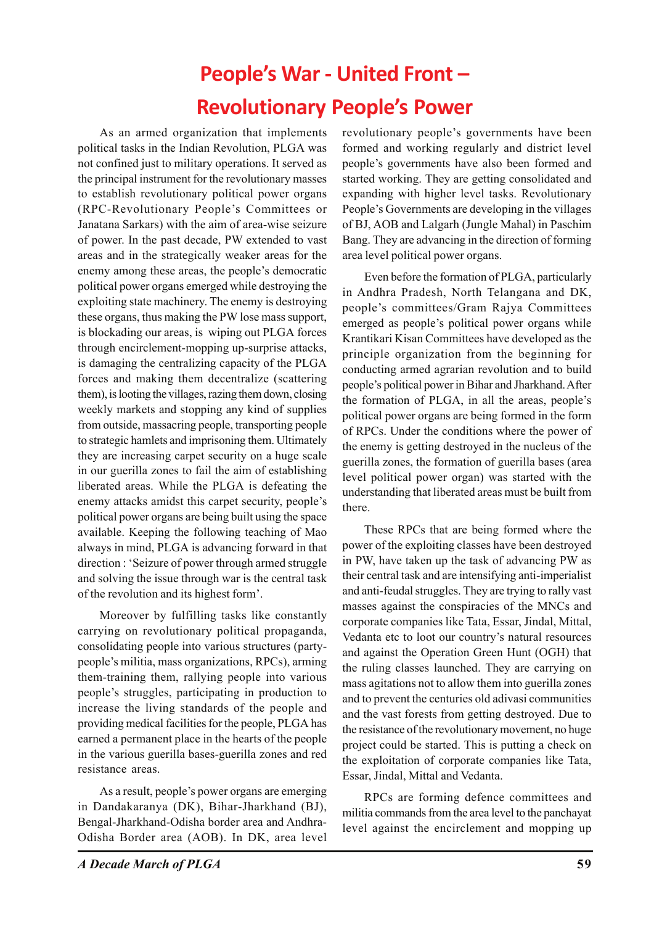# **People's War - United Front – Revolutionary People's Power**

As an armed organization that implements political tasks in the Indian Revolution, PLGA was not confined just to military operations. It served as the principal instrument for the revolutionary masses to establish revolutionary political power organs (RPC-Revolutionary People's Committees or Janatana Sarkars) with the aim of area-wise seizure of power. In the past decade, PW extended to vast areas and in the strategically weaker areas for the enemy among these areas, the people's democratic political power organs emerged while destroying the exploiting state machinery. The enemy is destroying these organs, thus making the PW lose mass support, is blockading our areas, is wiping out PLGA forces through encirclement-mopping up-surprise attacks, is damaging the centralizing capacity of the PLGA forces and making them decentralize (scattering them), is looting the villages, razing them down, closing weekly markets and stopping any kind of supplies from outside, massacring people, transporting people to strategic hamlets and imprisoning them. Ultimately they are increasing carpet security on a huge scale in our guerilla zones to fail the aim of establishing liberated areas. While the PLGA is defeating the enemy attacks amidst this carpet security, people's political power organs are being built using the space available. Keeping the following teaching of Mao always in mind, PLGA is advancing forward in that direction : 'Seizure of power through armed struggle and solving the issue through war is the central task of the revolution and its highest form'.

Moreover by fulfilling tasks like constantly carrying on revolutionary political propaganda, consolidating people into various structures (partypeople's militia, mass organizations, RPCs), arming them-training them, rallying people into various people's struggles, participating in production to increase the living standards of the people and providing medical facilities for the people, PLGA has earned a permanent place in the hearts of the people in the various guerilla bases-guerilla zones and red resistance areas.

As a result, people's power organs are emerging in Dandakaranya (DK), Bihar-Jharkhand (BJ), Bengal-Jharkhand-Odisha border area and Andhra-Odisha Border area (AOB). In DK, area level

revolutionary people's governments have been formed and working regularly and district level people's governments have also been formed and started working. They are getting consolidated and expanding with higher level tasks. Revolutionary People's Governments are developing in the villages of BJ, AOB and Lalgarh (Jungle Mahal) in Paschim Bang. They are advancing in the direction of forming area level political power organs.

Even before the formation of PLGA, particularly in Andhra Pradesh, North Telangana and DK, people's committees/Gram Rajya Committees emerged as people's political power organs while Krantikari Kisan Committees have developed as the principle organization from the beginning for conducting armed agrarian revolution and to build people's political power in Bihar and Jharkhand. After the formation of PLGA, in all the areas, people's political power organs are being formed in the form of RPCs. Under the conditions where the power of the enemy is getting destroyed in the nucleus of the guerilla zones, the formation of guerilla bases (area level political power organ) was started with the understanding that liberated areas must be built from there.

These RPCs that are being formed where the power of the exploiting classes have been destroyed in PW, have taken up the task of advancing PW as their central task and are intensifying anti-imperialist and anti-feudal struggles. They are trying to rally vast masses against the conspiracies of the MNCs and corporate companies like Tata, Essar, Jindal, Mittal, Vedanta etc to loot our country's natural resources and against the Operation Green Hunt (OGH) that the ruling classes launched. They are carrying on mass agitations not to allow them into guerilla zones and to prevent the centuries old adivasi communities and the vast forests from getting destroyed. Due to the resistance of the revolutionary movement, no huge project could be started. This is putting a check on the exploitation of corporate companies like Tata, Essar, Jindal, Mittal and Vedanta.

RPCs are forming defence committees and militia commands from the area level to the panchayat level against the encirclement and mopping up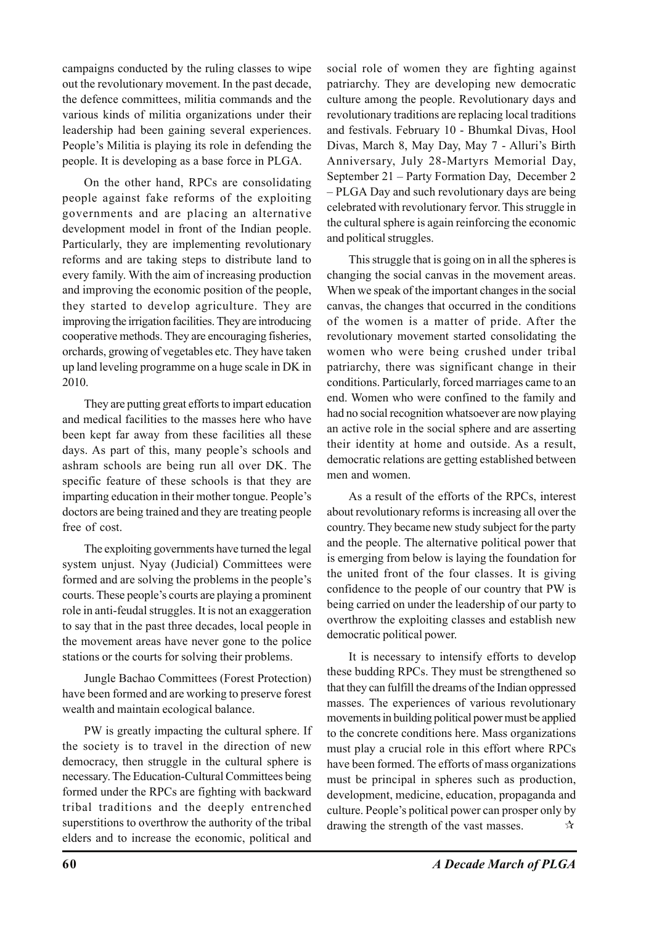campaigns conducted by the ruling classes to wipe out the revolutionary movement. In the past decade, the defence committees, militia commands and the various kinds of militia organizations under their leadership had been gaining several experiences. People's Militia is playing its role in defending the people. It is developing as a base force in PLGA.

On the other hand, RPCs are consolidating people against fake reforms of the exploiting governments and are placing an alternative development model in front of the Indian people. Particularly, they are implementing revolutionary reforms and are taking steps to distribute land to every family. With the aim of increasing production and improving the economic position of the people, they started to develop agriculture. They are improving the irrigation facilities. They are introducing cooperative methods. They are encouraging fisheries, orchards, growing of vegetables etc. They have taken up land leveling programme on a huge scale in DK in 2010.

They are putting great efforts to impart education and medical facilities to the masses here who have been kept far away from these facilities all these days. As part of this, many people's schools and ashram schools are being run all over DK. The specific feature of these schools is that they are imparting education in their mother tongue. People's doctors are being trained and they are treating people free of cost.

The exploiting governments have turned the legal system unjust. Nyay (Judicial) Committees were formed and are solving the problems in the people's courts. These people's courts are playing a prominent role in anti-feudal struggles. It is not an exaggeration to say that in the past three decades, local people in the movement areas have never gone to the police stations or the courts for solving their problems.

Jungle Bachao Committees (Forest Protection) have been formed and are working to preserve forest wealth and maintain ecological balance.

PW is greatly impacting the cultural sphere. If the society is to travel in the direction of new democracy, then struggle in the cultural sphere is necessary. The Education-Cultural Committees being formed under the RPCs are fighting with backward tribal traditions and the deeply entrenched superstitions to overthrow the authority of the tribal elders and to increase the economic, political and

social role of women they are fighting against patriarchy. They are developing new democratic culture among the people. Revolutionary days and revolutionary traditions are replacing local traditions and festivals. February 10 - Bhumkal Divas, Hool Divas, March 8, May Day, May 7 - Alluri's Birth Anniversary, July 28-Martyrs Memorial Day, September 21 – Party Formation Day, December 2 – PLGA Day and such revolutionary days are being celebrated with revolutionary fervor. This struggle in the cultural sphere is again reinforcing the economic and political struggles.

This struggle that is going on in all the spheres is changing the social canvas in the movement areas. When we speak of the important changes in the social canvas, the changes that occurred in the conditions of the women is a matter of pride. After the revolutionary movement started consolidating the women who were being crushed under tribal patriarchy, there was significant change in their conditions. Particularly, forced marriages came to an end. Women who were confined to the family and had no social recognition whatsoever are now playing an active role in the social sphere and are asserting their identity at home and outside. As a result, democratic relations are getting established between men and women.

As a result of the efforts of the RPCs, interest about revolutionary reforms is increasing all over the country. They became new study subject for the party and the people. The alternative political power that is emerging from below is laying the foundation for the united front of the four classes. It is giving confidence to the people of our country that PW is being carried on under the leadership of our party to overthrow the exploiting classes and establish new democratic political power.

It is necessary to intensify efforts to develop these budding RPCs. They must be strengthened so that they can fulfill the dreams of the Indian oppressed masses. The experiences of various revolutionary movements in building political power must be applied to the concrete conditions here. Mass organizations must play a crucial role in this effort where RPCs have been formed. The efforts of mass organizations must be principal in spheres such as production, development, medicine, education, propaganda and culture. People's political power can prosper only by drawing the strength of the vast masses.  $\forall x$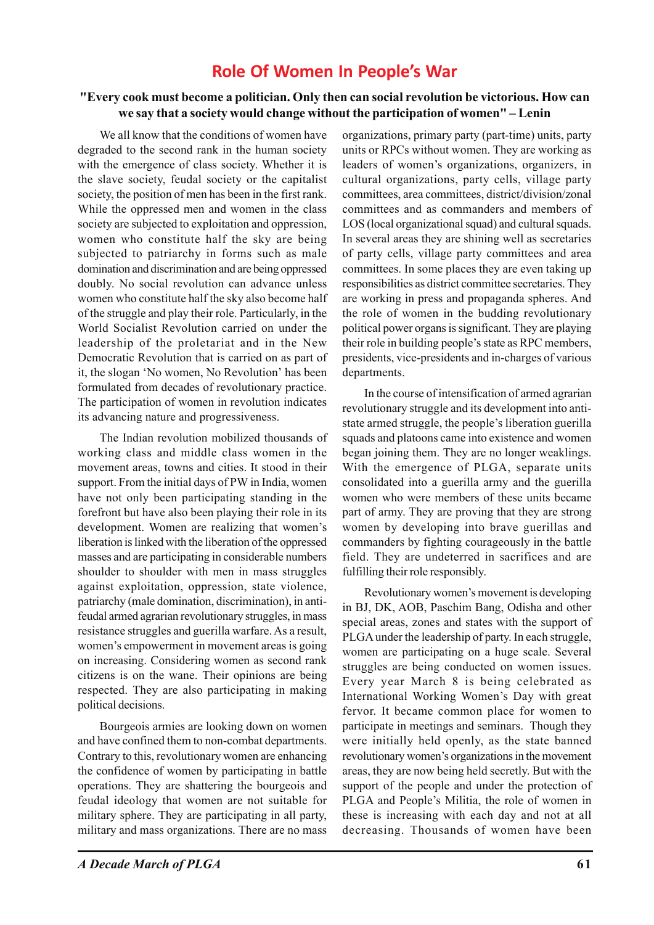# **Role Of Women In People's War**

#### **"Every cook must become a politician. Only then can social revolution be victorious. How can we say that a society would change without the participation of women" – Lenin**

We all know that the conditions of women have degraded to the second rank in the human society with the emergence of class society. Whether it is the slave society, feudal society or the capitalist society, the position of men has been in the first rank. While the oppressed men and women in the class society are subjected to exploitation and oppression, women who constitute half the sky are being subjected to patriarchy in forms such as male domination and discrimination and are being oppressed doubly. No social revolution can advance unless women who constitute half the sky also become half of the struggle and play their role. Particularly, in the World Socialist Revolution carried on under the leadership of the proletariat and in the New Democratic Revolution that is carried on as part of it, the slogan 'No women, No Revolution' has been formulated from decades of revolutionary practice. The participation of women in revolution indicates its advancing nature and progressiveness.

The Indian revolution mobilized thousands of working class and middle class women in the movement areas, towns and cities. It stood in their support. From the initial days of PW in India, women have not only been participating standing in the forefront but have also been playing their role in its development. Women are realizing that women's liberation is linked with the liberation of the oppressed masses and are participating in considerable numbers shoulder to shoulder with men in mass struggles against exploitation, oppression, state violence, patriarchy (male domination, discrimination), in antifeudal armed agrarian revolutionary struggles, in mass resistance struggles and guerilla warfare. As a result, women's empowerment in movement areas is going on increasing. Considering women as second rank citizens is on the wane. Their opinions are being respected. They are also participating in making political decisions.

Bourgeois armies are looking down on women and have confined them to non-combat departments. Contrary to this, revolutionary women are enhancing the confidence of women by participating in battle operations. They are shattering the bourgeois and feudal ideology that women are not suitable for military sphere. They are participating in all party, military and mass organizations. There are no mass organizations, primary party (part-time) units, party units or RPCs without women. They are working as leaders of women's organizations, organizers, in cultural organizations, party cells, village party committees, area committees, district/division/zonal committees and as commanders and members of LOS (local organizational squad) and cultural squads. In several areas they are shining well as secretaries of party cells, village party committees and area committees. In some places they are even taking up responsibilities as district committee secretaries. They are working in press and propaganda spheres. And the role of women in the budding revolutionary political power organs is significant. They are playing their role in building people's state as RPC members, presidents, vice-presidents and in-charges of various departments.

In the course of intensification of armed agrarian revolutionary struggle and its development into antistate armed struggle, the people's liberation guerilla squads and platoons came into existence and women began joining them. They are no longer weaklings. With the emergence of PLGA, separate units consolidated into a guerilla army and the guerilla women who were members of these units became part of army. They are proving that they are strong women by developing into brave guerillas and commanders by fighting courageously in the battle field. They are undeterred in sacrifices and are fulfilling their role responsibly.

Revolutionary women's movement is developing in BJ, DK, AOB, Paschim Bang, Odisha and other special areas, zones and states with the support of PLGA under the leadership of party. In each struggle, women are participating on a huge scale. Several struggles are being conducted on women issues. Every year March 8 is being celebrated as International Working Women's Day with great fervor. It became common place for women to participate in meetings and seminars. Though they were initially held openly, as the state banned revolutionary women's organizations in the movement areas, they are now being held secretly. But with the support of the people and under the protection of PLGA and People's Militia, the role of women in these is increasing with each day and not at all decreasing. Thousands of women have been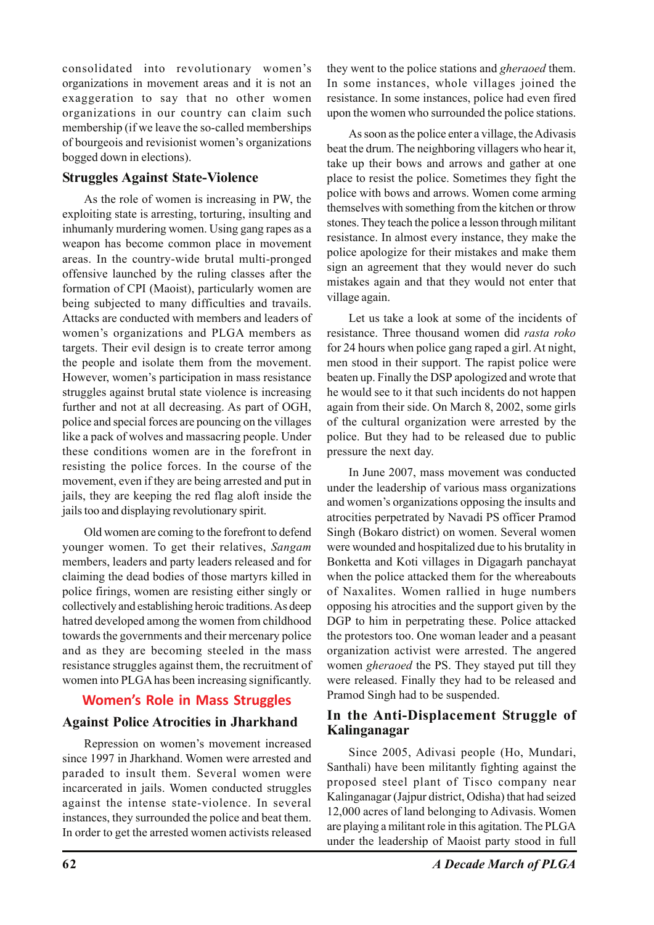consolidated into revolutionary women's organizations in movement areas and it is not an exaggeration to say that no other women organizations in our country can claim such membership (if we leave the so-called memberships of bourgeois and revisionist women's organizations bogged down in elections).

### **Struggles Against State-Violence**

As the role of women is increasing in PW, the exploiting state is arresting, torturing, insulting and inhumanly murdering women. Using gang rapes as a weapon has become common place in movement areas. In the country-wide brutal multi-pronged offensive launched by the ruling classes after the formation of CPI (Maoist), particularly women are being subjected to many difficulties and travails. Attacks are conducted with members and leaders of women's organizations and PLGA members as targets. Their evil design is to create terror among the people and isolate them from the movement. However, women's participation in mass resistance struggles against brutal state violence is increasing further and not at all decreasing. As part of OGH, police and special forces are pouncing on the villages like a pack of wolves and massacring people. Under these conditions women are in the forefront in resisting the police forces. In the course of the movement, even if they are being arrested and put in jails, they are keeping the red flag aloft inside the jails too and displaying revolutionary spirit.

Old women are coming to the forefront to defend younger women. To get their relatives, *Sangam* members, leaders and party leaders released and for claiming the dead bodies of those martyrs killed in police firings, women are resisting either singly or collectively and establishing heroic traditions. As deep hatred developed among the women from childhood towards the governments and their mercenary police and as they are becoming steeled in the mass resistance struggles against them, the recruitment of women into PLGA has been increasing significantly.

# **Women's Role in Mass Struggles**

#### **Against Police Atrocities in Jharkhand**

Repression on women's movement increased since 1997 in Jharkhand. Women were arrested and paraded to insult them. Several women were incarcerated in jails. Women conducted struggles against the intense state-violence. In several instances, they surrounded the police and beat them. In order to get the arrested women activists released

they went to the police stations and *gheraoed* them. In some instances, whole villages joined the resistance. In some instances, police had even fired upon the women who surrounded the police stations.

As soon as the police enter a village, the Adivasis beat the drum. The neighboring villagers who hear it, take up their bows and arrows and gather at one place to resist the police. Sometimes they fight the police with bows and arrows. Women come arming themselves with something from the kitchen or throw stones. They teach the police a lesson through militant resistance. In almost every instance, they make the police apologize for their mistakes and make them sign an agreement that they would never do such mistakes again and that they would not enter that village again.

Let us take a look at some of the incidents of resistance. Three thousand women did *rasta roko* for 24 hours when police gang raped a girl. At night, men stood in their support. The rapist police were beaten up. Finally the DSP apologized and wrote that he would see to it that such incidents do not happen again from their side. On March 8, 2002, some girls of the cultural organization were arrested by the police. But they had to be released due to public pressure the next day.

In June 2007, mass movement was conducted under the leadership of various mass organizations and women's organizations opposing the insults and atrocities perpetrated by Navadi PS officer Pramod Singh (Bokaro district) on women. Several women were wounded and hospitalized due to his brutality in Bonketta and Koti villages in Digagarh panchayat when the police attacked them for the whereabouts of Naxalites. Women rallied in huge numbers opposing his atrocities and the support given by the DGP to him in perpetrating these. Police attacked the protestors too. One woman leader and a peasant organization activist were arrested. The angered women *gheraoed* the PS. They stayed put till they were released. Finally they had to be released and Pramod Singh had to be suspended.

#### **In the Anti-Displacement Struggle of Kalinganagar**

Since 2005, Adivasi people (Ho, Mundari, Santhali) have been militantly fighting against the proposed steel plant of Tisco company near Kalinganagar (Jajpur district, Odisha) that had seized 12,000 acres of land belonging to Adivasis. Women are playing a militant role in this agitation. The PLGA under the leadership of Maoist party stood in full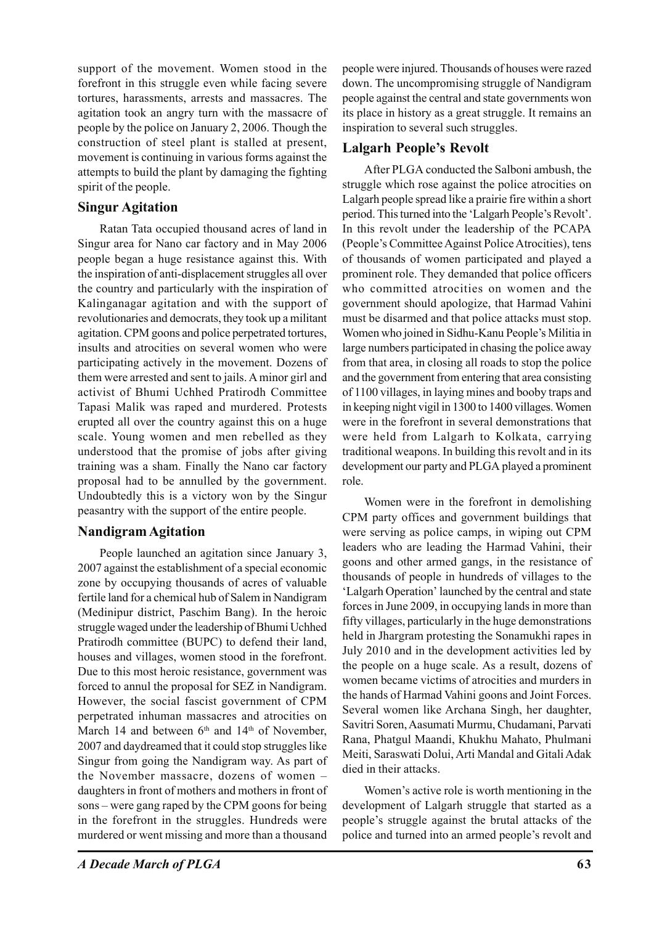support of the movement. Women stood in the forefront in this struggle even while facing severe tortures, harassments, arrests and massacres. The agitation took an angry turn with the massacre of people by the police on January 2, 2006. Though the construction of steel plant is stalled at present, movement is continuing in various forms against the attempts to build the plant by damaging the fighting spirit of the people.

# **Singur Agitation**

Ratan Tata occupied thousand acres of land in Singur area for Nano car factory and in May 2006 people began a huge resistance against this. With the inspiration of anti-displacement struggles all over the country and particularly with the inspiration of Kalinganagar agitation and with the support of revolutionaries and democrats, they took up a militant agitation. CPM goons and police perpetrated tortures, insults and atrocities on several women who were participating actively in the movement. Dozens of them were arrested and sent to jails. A minor girl and activist of Bhumi Uchhed Pratirodh Committee Tapasi Malik was raped and murdered. Protests erupted all over the country against this on a huge scale. Young women and men rebelled as they understood that the promise of jobs after giving training was a sham. Finally the Nano car factory proposal had to be annulled by the government. Undoubtedly this is a victory won by the Singur peasantry with the support of the entire people.

# **Nandigram Agitation**

People launched an agitation since January 3, 2007 against the establishment of a special economic zone by occupying thousands of acres of valuable fertile land for a chemical hub of Salem in Nandigram (Medinipur district, Paschim Bang). In the heroic struggle waged under the leadership of Bhumi Uchhed Pratirodh committee (BUPC) to defend their land, houses and villages, women stood in the forefront. Due to this most heroic resistance, government was forced to annul the proposal for SEZ in Nandigram. However, the social fascist government of CPM perpetrated inhuman massacres and atrocities on March 14 and between  $6<sup>th</sup>$  and  $14<sup>th</sup>$  of November, 2007 and daydreamed that it could stop struggles like Singur from going the Nandigram way. As part of the November massacre, dozens of women – daughters in front of mothers and mothers in front of sons – were gang raped by the CPM goons for being in the forefront in the struggles. Hundreds were murdered or went missing and more than a thousand

people were injured. Thousands of houses were razed down. The uncompromising struggle of Nandigram people against the central and state governments won its place in history as a great struggle. It remains an inspiration to several such struggles.

# **Lalgarh People's Revolt**

After PLGA conducted the Salboni ambush, the struggle which rose against the police atrocities on Lalgarh people spread like a prairie fire within a short period. This turned into the 'Lalgarh People's Revolt'. In this revolt under the leadership of the PCAPA (People's Committee Against Police Atrocities), tens of thousands of women participated and played a prominent role. They demanded that police officers who committed atrocities on women and the government should apologize, that Harmad Vahini must be disarmed and that police attacks must stop. Women who joined in Sidhu-Kanu People's Militia in large numbers participated in chasing the police away from that area, in closing all roads to stop the police and the government from entering that area consisting of 1100 villages, in laying mines and booby traps and in keeping night vigil in 1300 to 1400 villages. Women were in the forefront in several demonstrations that were held from Lalgarh to Kolkata, carrying traditional weapons. In building this revolt and in its development our party and PLGA played a prominent role.

Women were in the forefront in demolishing CPM party offices and government buildings that were serving as police camps, in wiping out CPM leaders who are leading the Harmad Vahini, their goons and other armed gangs, in the resistance of thousands of people in hundreds of villages to the 'Lalgarh Operation' launched by the central and state forces in June 2009, in occupying lands in more than fifty villages, particularly in the huge demonstrations held in Jhargram protesting the Sonamukhi rapes in July 2010 and in the development activities led by the people on a huge scale. As a result, dozens of women became victims of atrocities and murders in the hands of Harmad Vahini goons and Joint Forces. Several women like Archana Singh, her daughter, Savitri Soren, Aasumati Murmu, Chudamani, Parvati Rana, Phatgul Maandi, Khukhu Mahato, Phulmani Meiti, Saraswati Dolui, Arti Mandal and Gitali Adak died in their attacks.

Women's active role is worth mentioning in the development of Lalgarh struggle that started as a people's struggle against the brutal attacks of the police and turned into an armed people's revolt and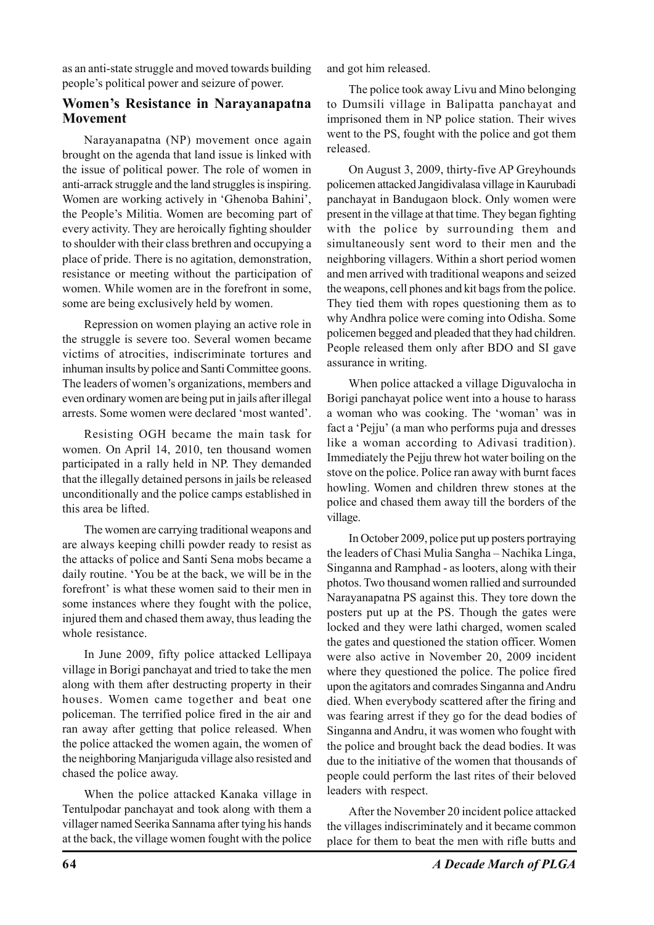as an anti-state struggle and moved towards building people's political power and seizure of power.

#### **Women's Resistance in Narayanapatna Movement**

Narayanapatna (NP) movement once again brought on the agenda that land issue is linked with the issue of political power. The role of women in anti-arrack struggle and the land struggles is inspiring. Women are working actively in 'Ghenoba Bahini', the People's Militia. Women are becoming part of every activity. They are heroically fighting shoulder to shoulder with their class brethren and occupying a place of pride. There is no agitation, demonstration, resistance or meeting without the participation of women. While women are in the forefront in some, some are being exclusively held by women.

Repression on women playing an active role in the struggle is severe too. Several women became victims of atrocities, indiscriminate tortures and inhuman insults by police and Santi Committee goons. The leaders of women's organizations, members and even ordinary women are being put in jails after illegal arrests. Some women were declared 'most wanted'.

Resisting OGH became the main task for women. On April 14, 2010, ten thousand women participated in a rally held in NP. They demanded that the illegally detained persons in jails be released unconditionally and the police camps established in this area be lifted.

The women are carrying traditional weapons and are always keeping chilli powder ready to resist as the attacks of police and Santi Sena mobs became a daily routine. 'You be at the back, we will be in the forefront' is what these women said to their men in some instances where they fought with the police, injured them and chased them away, thus leading the whole resistance.

In June 2009, fifty police attacked Lellipaya village in Borigi panchayat and tried to take the men along with them after destructing property in their houses. Women came together and beat one policeman. The terrified police fired in the air and ran away after getting that police released. When the police attacked the women again, the women of the neighboring Manjariguda village also resisted and chased the police away.

When the police attacked Kanaka village in Tentulpodar panchayat and took along with them a villager named Seerika Sannama after tying his hands at the back, the village women fought with the police and got him released.

The police took away Livu and Mino belonging to Dumsili village in Balipatta panchayat and imprisoned them in NP police station. Their wives went to the PS, fought with the police and got them released.

On August 3, 2009, thirty-five AP Greyhounds policemen attacked Jangidivalasa village in Kaurubadi panchayat in Bandugaon block. Only women were present in the village at that time. They began fighting with the police by surrounding them and simultaneously sent word to their men and the neighboring villagers. Within a short period women and men arrived with traditional weapons and seized the weapons, cell phones and kit bags from the police. They tied them with ropes questioning them as to why Andhra police were coming into Odisha. Some policemen begged and pleaded that they had children. People released them only after BDO and SI gave assurance in writing.

When police attacked a village Diguvalocha in Borigi panchayat police went into a house to harass a woman who was cooking. The 'woman' was in fact a 'Pejju' (a man who performs puja and dresses like a woman according to Adivasi tradition). Immediately the Pejju threw hot water boiling on the stove on the police. Police ran away with burnt faces howling. Women and children threw stones at the police and chased them away till the borders of the village.

In October 2009, police put up posters portraying the leaders of Chasi Mulia Sangha – Nachika Linga, Singanna and Ramphad - as looters, along with their photos. Two thousand women rallied and surrounded Narayanapatna PS against this. They tore down the posters put up at the PS. Though the gates were locked and they were lathi charged, women scaled the gates and questioned the station officer. Women were also active in November 20, 2009 incident where they questioned the police. The police fired upon the agitators and comrades Singanna and Andru died. When everybody scattered after the firing and was fearing arrest if they go for the dead bodies of Singanna and Andru, it was women who fought with the police and brought back the dead bodies. It was due to the initiative of the women that thousands of people could perform the last rites of their beloved leaders with respect.

After the November 20 incident police attacked the villages indiscriminately and it became common place for them to beat the men with rifle butts and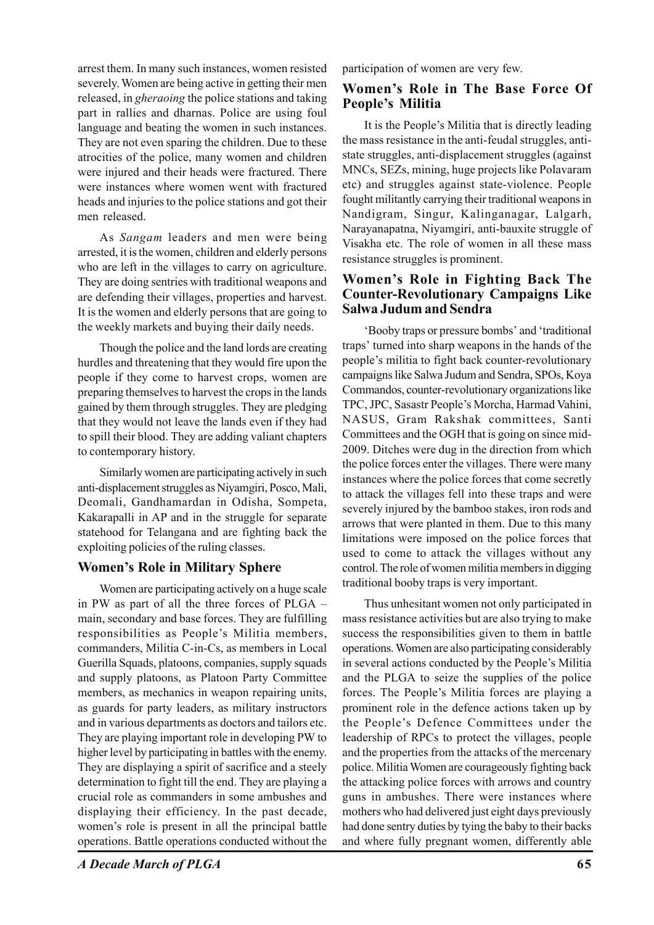arrest them. In many such instances, women resisted severely. Women are being active in getting their men released, in *gheraoing* the police stations and taking part in rallies and dharnas. Police are using foul language and beating the women in such instances. They are not even sparing the children. Due to these atrocities of the police, many women and children were injured and their heads were fractured. There were instances where women went with fractured heads and injuries to the police stations and got their men released.

As *Sangam* leaders and men were being arrested, it is the women, children and elderly persons who are left in the villages to carry on agriculture. They are doing sentries with traditional weapons and are defending their villages, properties and harvest. It is the women and elderly persons that are going to the weekly markets and buying their daily needs.

Though the police and the land lords are creating hurdles and threatening that they would fire upon the people if they come to harvest crops, women are preparing themselves to harvest the crops in the lands gained by them through struggles. They are pledging that they would not leave the lands even if they had to spill their blood. They are adding valiant chapters to contemporary history.

Similarly women are participating actively in such anti-displacement struggles as Niyamgiri, Posco, Mali, Deomali, Gandhamardan in Odisha, Sompeta, Kakarapalli in AP and in the struggle for separate statehood for Telangana and are fighting back the exploiting policies of the ruling classes.

#### **Women's Role in Military Sphere**

Women are participating actively on a huge scale in PW as part of all the three forces of PLGA – main, secondary and base forces. They are fulfilling responsibilities as People's Militia members, commanders, Militia C-in-Cs, as members in Local Guerilla Squads, platoons, companies, supply squads and supply platoons, as Platoon Party Committee members, as mechanics in weapon repairing units, as guards for party leaders, as military instructors and in various departments as doctors and tailors etc. They are playing important role in developing PW to higher level by participating in battles with the enemy. They are displaying a spirit of sacrifice and a steely determination to fight till the end. They are playing a crucial role as commanders in some ambushes and displaying their efficiency. In the past decade, women's role is present in all the principal battle operations. Battle operations conducted without the

*A Decade March of PLGA* **65**

participation of women are very few.

### **Women's Role in The Base Force Of People's Militia**

It is the People's Militia that is directly leading the mass resistance in the anti-feudal struggles, antistate struggles, anti-displacement struggles (against MNCs, SEZs, mining, huge projects like Polavaram etc) and struggles against state-violence. People fought militantly carrying their traditional weapons in Nandigram, Singur, Kalinganagar, Lalgarh, Narayanapatna, Niyamgiri, anti-bauxite struggle of Visakha etc. The role of women in all these mass resistance struggles is prominent.

#### **Women's Role in Fighting Back The Counter-Revolutionary Campaigns Like Salwa Judum and Sendra**

'Booby traps or pressure bombs' and 'traditional traps' turned into sharp weapons in the hands of the people's militia to fight back counter-revolutionary campaigns like Salwa Judum and Sendra, SPOs, Koya Commandos, counter-revolutionary organizations like TPC, JPC, Sasastr People's Morcha, Harmad Vahini, NASUS, Gram Rakshak committees, Santi Committees and the OGH that is going on since mid-2009. Ditches were dug in the direction from which the police forces enter the villages. There were many instances where the police forces that come secretly to attack the villages fell into these traps and were severely injured by the bamboo stakes, iron rods and arrows that were planted in them. Due to this many limitations were imposed on the police forces that used to come to attack the villages without any control. The role of women militia members in digging traditional booby traps is very important.

Thus unhesitant women not only participated in mass resistance activities but are also trying to make success the responsibilities given to them in battle operations. Women are also participating considerably in several actions conducted by the People's Militia and the PLGA to seize the supplies of the police forces. The People's Militia forces are playing a prominent role in the defence actions taken up by the People's Defence Committees under the leadership of RPCs to protect the villages, people and the properties from the attacks of the mercenary police. Militia Women are courageously fighting back the attacking police forces with arrows and country guns in ambushes. There were instances where mothers who had delivered just eight days previously had done sentry duties by tying the baby to their backs and where fully pregnant women, differently able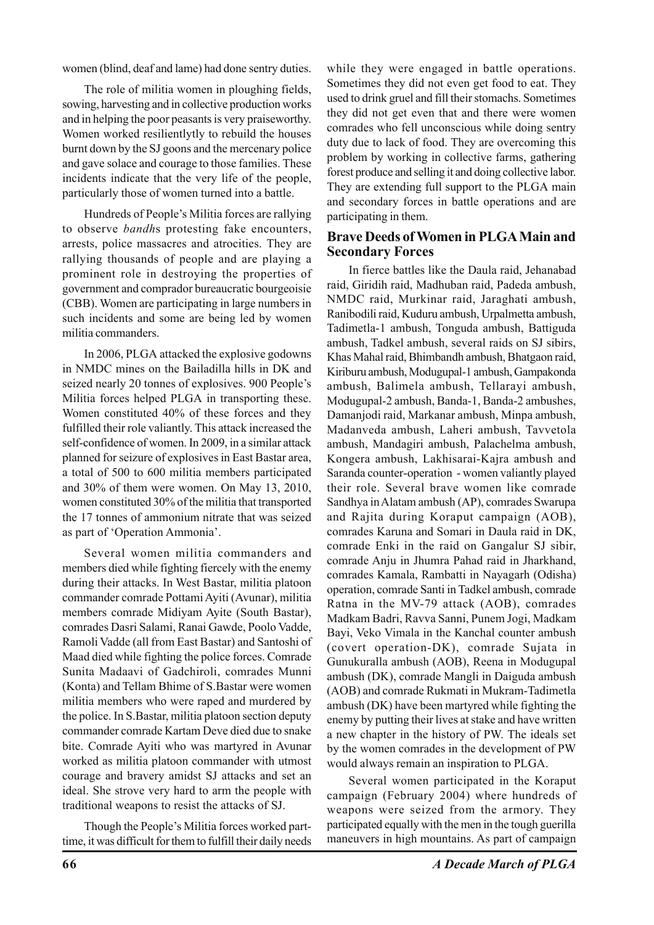women (blind, deaf and lame) had done sentry duties.

The role of militia women in ploughing fields, sowing, harvesting and in collective production works and in helping the poor peasants is very praiseworthy. Women worked resilientlytly to rebuild the houses burnt down by the SJ goons and the mercenary police and gave solace and courage to those families. These incidents indicate that the very life of the people, particularly those of women turned into a battle.

Hundreds of People's Militia forces are rallying to observe *bandh*s protesting fake encounters, arrests, police massacres and atrocities. They are rallying thousands of people and are playing a prominent role in destroying the properties of government and comprador bureaucratic bourgeoisie (CBB). Women are participating in large numbers in such incidents and some are being led by women militia commanders.

In 2006, PLGA attacked the explosive godowns in NMDC mines on the Bailadilla hills in DK and seized nearly 20 tonnes of explosives. 900 People's Militia forces helped PLGA in transporting these. Women constituted 40% of these forces and they fulfilled their role valiantly. This attack increased the self-confidence of women. In 2009, in a similar attack planned for seizure of explosives in East Bastar area, a total of 500 to 600 militia members participated and 30% of them were women. On May 13, 2010, women constituted 30% of the militia that transported the 17 tonnes of ammonium nitrate that was seized as part of 'Operation Ammonia'.

Several women militia commanders and members died while fighting fiercely with the enemy during their attacks. In West Bastar, militia platoon commander comrade Pottami Ayiti (Avunar), militia members comrade Midiyam Ayite (South Bastar), comrades Dasri Salami, Ranai Gawde, Poolo Vadde, Ramoli Vadde (all from East Bastar) and Santoshi of Maad died while fighting the police forces. Comrade Sunita Madaavi of Gadchiroli, comrades Munni (Konta) and Tellam Bhime of S.Bastar were women militia members who were raped and murdered by the police. In S.Bastar, militia platoon section deputy commander comrade Kartam Deve died due to snake bite. Comrade Ayiti who was martyred in Avunar worked as militia platoon commander with utmost courage and bravery amidst SJ attacks and set an ideal. She strove very hard to arm the people with traditional weapons to resist the attacks of SJ.

Though the People's Militia forces worked parttime, it was difficult for them to fulfill their daily needs while they were engaged in battle operations. Sometimes they did not even get food to eat. They used to drink gruel and fill their stomachs. Sometimes they did not get even that and there were women comrades who fell unconscious while doing sentry duty due to lack of food. They are overcoming this problem by working in collective farms, gathering forest produce and selling it and doing collective labor. They are extending full support to the PLGA main and secondary forces in battle operations and are participating in them.

#### **Brave Deeds of Women in PLGA Main and Secondary Forces**

In fierce battles like the Daula raid, Jehanabad raid, Giridih raid, Madhuban raid, Padeda ambush, NMDC raid, Murkinar raid, Jaraghati ambush, Ranibodili raid, Kuduru ambush, Urpalmetta ambush, Tadimetla-1 ambush, Tonguda ambush, Battiguda ambush, Tadkel ambush, several raids on SJ sibirs, Khas Mahal raid, Bhimbandh ambush, Bhatgaon raid, Kiriburu ambush, Modugupal-1 ambush, Gampakonda ambush, Balimela ambush, Tellarayi ambush, Modugupal-2 ambush, Banda-1, Banda-2 ambushes, Damanjodi raid, Markanar ambush, Minpa ambush, Madanveda ambush, Laheri ambush, Tavvetola ambush, Mandagiri ambush, Palachelma ambush, Kongera ambush, Lakhisarai-Kajra ambush and Saranda counter-operation - women valiantly played their role. Several brave women like comrade Sandhya in Alatam ambush (AP), comrades Swarupa and Rajita during Koraput campaign (AOB), comrades Karuna and Somari in Daula raid in DK, comrade Enki in the raid on Gangalur SJ sibir, comrade Anju in Jhumra Pahad raid in Jharkhand, comrades Kamala, Rambatti in Nayagarh (Odisha) operation, comrade Santi in Tadkel ambush, comrade Ratna in the MV-79 attack (AOB), comrades Madkam Badri, Ravva Sanni, Punem Jogi, Madkam Bayi, Veko Vimala in the Kanchal counter ambush (covert operation-DK), comrade Sujata in Gunukuralla ambush (AOB), Reena in Modugupal ambush (DK), comrade Mangli in Daiguda ambush (AOB) and comrade Rukmati in Mukram-Tadimetla ambush (DK) have been martyred while fighting the enemy by putting their lives at stake and have written a new chapter in the history of PW. The ideals set by the women comrades in the development of PW would always remain an inspiration to PLGA.

Several women participated in the Koraput campaign (February 2004) where hundreds of weapons were seized from the armory. They participated equally with the men in the tough guerilla maneuvers in high mountains. As part of campaign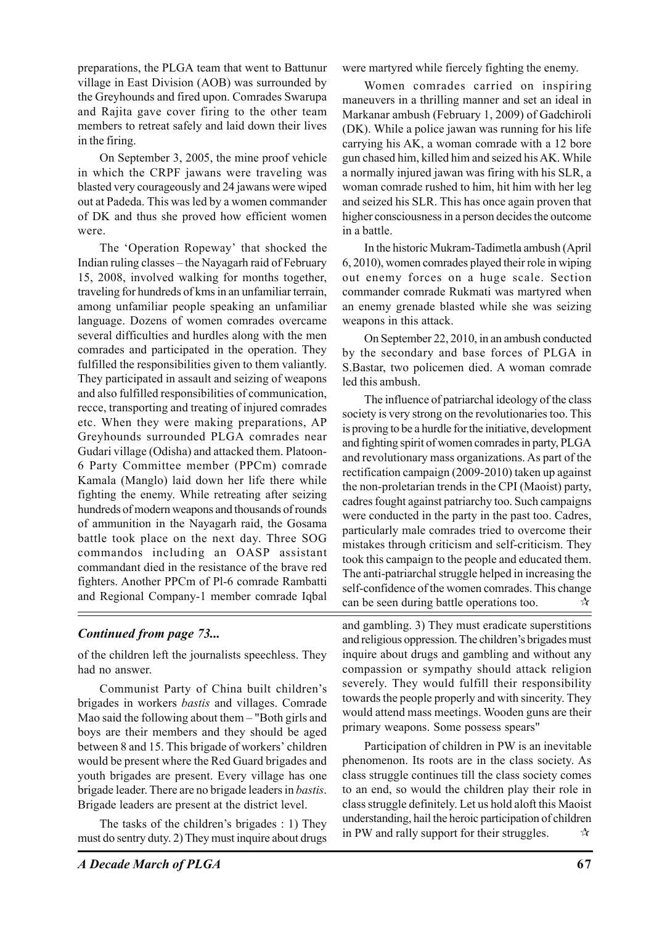preparations, the PLGA team that went to Battunur village in East Division (AOB) was surrounded by the Greyhounds and fired upon. Comrades Swarupa and Rajita gave cover firing to the other team members to retreat safely and laid down their lives in the firing.

On September 3, 2005, the mine proof vehicle in which the CRPF jawans were traveling was blasted very courageously and 24 jawans were wiped out at Padeda. This was led by a women commander of DK and thus she proved how efficient women were.

The 'Operation Ropeway' that shocked the Indian ruling classes – the Nayagarh raid of February 15, 2008, involved walking for months together, traveling for hundreds of kms in an unfamiliar terrain, among unfamiliar people speaking an unfamiliar language. Dozens of women comrades overcame several difficulties and hurdles along with the men comrades and participated in the operation. They fulfilled the responsibilities given to them valiantly. They participated in assault and seizing of weapons and also fulfilled responsibilities of communication, recce, transporting and treating of injured comrades etc. When they were making preparations, AP Greyhounds surrounded PLGA comrades near Gudari village (Odisha) and attacked them. Platoon-6 Party Committee member (PPCm) comrade Kamala (Manglo) laid down her life there while fighting the enemy. While retreating after seizing hundreds of modern weapons and thousands of rounds of ammunition in the Nayagarh raid, the Gosama battle took place on the next day. Three SOG commandos including an OASP assistant commandant died in the resistance of the brave red fighters. Another PPCm of Pl-6 comrade Rambatti and Regional Company-1 member comrade Iqbal

were martyred while fiercely fighting the enemy.

Women comrades carried on inspiring maneuvers in a thrilling manner and set an ideal in Markanar ambush (February 1, 2009) of Gadchiroli (DK). While a police jawan was running for his life carrying his AK, a woman comrade with a 12 bore gun chased him, killed him and seized his AK. While a normally injured jawan was firing with his SLR, a woman comrade rushed to him, hit him with her leg and seized his SLR. This has once again proven that higher consciousness in a person decides the outcome in a battle.

In the historic Mukram-Tadimetla ambush (April 6, 2010), women comrades played their role in wiping out enemy forces on a huge scale. Section commander comrade Rukmati was martyred when an enemy grenade blasted while she was seizing weapons in this attack.

On September 22, 2010, in an ambush conducted by the secondary and base forces of PLGA in S.Bastar, two policemen died. A woman comrade led this ambush.

The influence of patriarchal ideology of the class society is very strong on the revolutionaries too. This is proving to be a hurdle for the initiative, development and fighting spirit of women comrades in party, PLGA and revolutionary mass organizations. As part of the rectification campaign (2009-2010) taken up against the non-proletarian trends in the CPI (Maoist) party, cadres fought against patriarchy too. Such campaigns were conducted in the party in the past too. Cadres, particularly male comrades tried to overcome their mistakes through criticism and self-criticism. They took this campaign to the people and educated them. The anti-patriarchal struggle helped in increasing the self-confidence of the women comrades. This change can be seen during battle operations too.  $\forall x$ 

# *Continued from page 73...*

of the children left the journalists speechless. They had no answer.

Communist Party of China built children's brigades in workers *bastis* and villages. Comrade Mao said the following about them – "Both girls and boys are their members and they should be aged between 8 and 15. This brigade of workers' children would be present where the Red Guard brigades and youth brigades are present. Every village has one brigade leader. There are no brigade leaders in *bastis*. Brigade leaders are present at the district level.

The tasks of the children's brigades : 1) They must do sentry duty. 2) They must inquire about drugs and gambling. 3) They must eradicate superstitions and religious oppression. The children's brigades must inquire about drugs and gambling and without any compassion or sympathy should attack religion severely. They would fulfill their responsibility towards the people properly and with sincerity. They would attend mass meetings. Wooden guns are their primary weapons. Some possess spears"

Participation of children in PW is an inevitable phenomenon. Its roots are in the class society. As class struggle continues till the class society comes to an end, so would the children play their role in class struggle definitely. Let us hold aloft this Maoist understanding, hail the heroic participation of children in PW and rally support for their struggles.  $\forall x$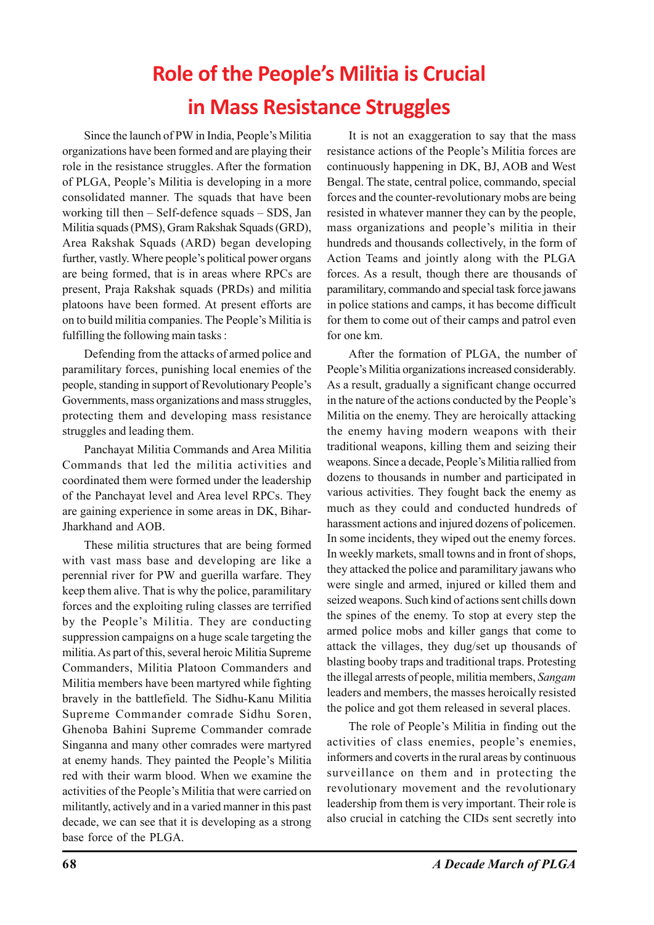# **Role of the People's Militia is Crucial in Mass Resistance Struggles**

Since the launch of PW in India, People's Militia organizations have been formed and are playing their role in the resistance struggles. After the formation of PLGA, People's Militia is developing in a more consolidated manner. The squads that have been working till then – Self-defence squads – SDS, Jan Militia squads (PMS), Gram Rakshak Squads (GRD), Area Rakshak Squads (ARD) began developing further, vastly. Where people's political power organs are being formed, that is in areas where RPCs are present, Praja Rakshak squads (PRDs) and militia platoons have been formed. At present efforts are on to build militia companies. The People's Militia is fulfilling the following main tasks :

Defending from the attacks of armed police and paramilitary forces, punishing local enemies of the people, standing in support of Revolutionary People's Governments, mass organizations and mass struggles, protecting them and developing mass resistance struggles and leading them.

Panchayat Militia Commands and Area Militia Commands that led the militia activities and coordinated them were formed under the leadership of the Panchayat level and Area level RPCs. They are gaining experience in some areas in DK, Bihar-Jharkhand and AOB.

These militia structures that are being formed with vast mass base and developing are like a perennial river for PW and guerilla warfare. They keep them alive. That is why the police, paramilitary forces and the exploiting ruling classes are terrified by the People's Militia. They are conducting suppression campaigns on a huge scale targeting the militia. As part of this, several heroic Militia Supreme Commanders, Militia Platoon Commanders and Militia members have been martyred while fighting bravely in the battlefield. The Sidhu-Kanu Militia Supreme Commander comrade Sidhu Soren, Ghenoba Bahini Supreme Commander comrade Singanna and many other comrades were martyred at enemy hands. They painted the People's Militia red with their warm blood. When we examine the activities of the People's Militia that were carried on militantly, actively and in a varied manner in this past decade, we can see that it is developing as a strong base force of the PLGA.

It is not an exaggeration to say that the mass resistance actions of the People's Militia forces are continuously happening in DK, BJ, AOB and West Bengal. The state, central police, commando, special forces and the counter-revolutionary mobs are being resisted in whatever manner they can by the people, mass organizations and people's militia in their hundreds and thousands collectively, in the form of Action Teams and jointly along with the PLGA forces. As a result, though there are thousands of paramilitary, commando and special task force jawans in police stations and camps, it has become difficult for them to come out of their camps and patrol even for one km.

After the formation of PLGA, the number of People's Militia organizations increased considerably. As a result, gradually a significant change occurred in the nature of the actions conducted by the People's Militia on the enemy. They are heroically attacking the enemy having modern weapons with their traditional weapons, killing them and seizing their weapons. Since a decade, People's Militia rallied from dozens to thousands in number and participated in various activities. They fought back the enemy as much as they could and conducted hundreds of harassment actions and injured dozens of policemen. In some incidents, they wiped out the enemy forces. In weekly markets, small towns and in front of shops, they attacked the police and paramilitary jawans who were single and armed, injured or killed them and seized weapons. Such kind of actions sent chills down the spines of the enemy. To stop at every step the armed police mobs and killer gangs that come to attack the villages, they dug/set up thousands of blasting booby traps and traditional traps. Protesting the illegal arrests of people, militia members, *Sangam* leaders and members, the masses heroically resisted the police and got them released in several places.

The role of People's Militia in finding out the activities of class enemies, people's enemies, informers and coverts in the rural areas by continuous surveillance on them and in protecting the revolutionary movement and the revolutionary leadership from them is very important. Their role is also crucial in catching the CIDs sent secretly into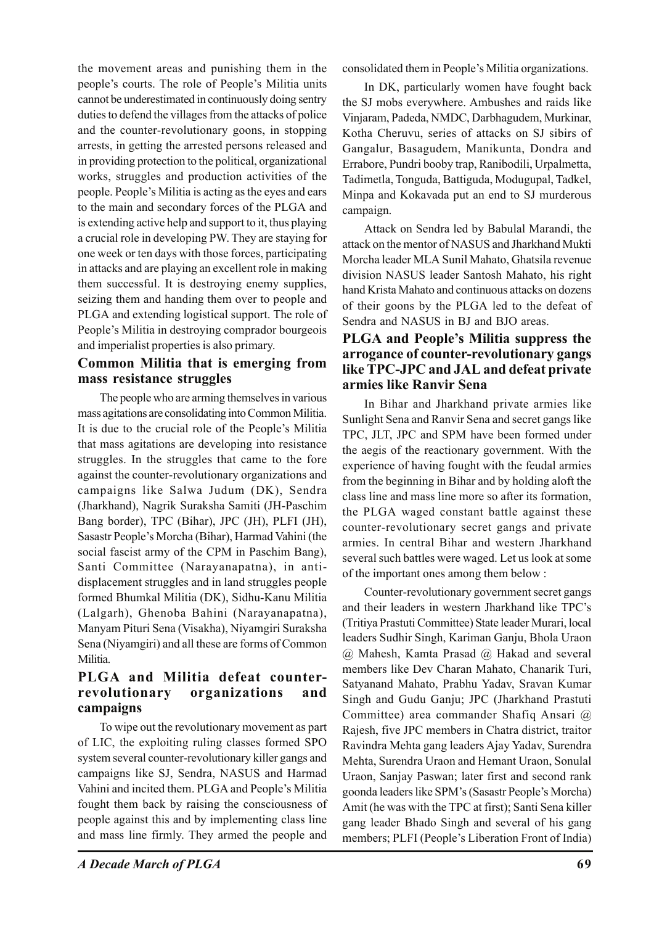the movement areas and punishing them in the people's courts. The role of People's Militia units cannot be underestimated in continuously doing sentry duties to defend the villages from the attacks of police and the counter-revolutionary goons, in stopping arrests, in getting the arrested persons released and in providing protection to the political, organizational works, struggles and production activities of the people. People's Militia is acting as the eyes and ears to the main and secondary forces of the PLGA and is extending active help and support to it, thus playing a crucial role in developing PW. They are staying for one week or ten days with those forces, participating in attacks and are playing an excellent role in making them successful. It is destroying enemy supplies, seizing them and handing them over to people and PLGA and extending logistical support. The role of People's Militia in destroying comprador bourgeois and imperialist properties is also primary.

### **Common Militia that is emerging from mass resistance struggles**

The people who are arming themselves in various mass agitations are consolidating into Common Militia. It is due to the crucial role of the People's Militia that mass agitations are developing into resistance struggles. In the struggles that came to the fore against the counter-revolutionary organizations and campaigns like Salwa Judum (DK), Sendra (Jharkhand), Nagrik Suraksha Samiti (JH-Paschim Bang border), TPC (Bihar), JPC (JH), PLFI (JH), Sasastr People's Morcha (Bihar), Harmad Vahini (the social fascist army of the CPM in Paschim Bang), Santi Committee (Narayanapatna), in antidisplacement struggles and in land struggles people formed Bhumkal Militia (DK), Sidhu-Kanu Militia (Lalgarh), Ghenoba Bahini (Narayanapatna), Manyam Pituri Sena (Visakha), Niyamgiri Suraksha Sena (Niyamgiri) and all these are forms of Common Militia.

### **PLGA and Militia defeat counterrevolutionary organizations and campaigns**

To wipe out the revolutionary movement as part of LIC, the exploiting ruling classes formed SPO system several counter-revolutionary killer gangs and campaigns like SJ, Sendra, NASUS and Harmad Vahini and incited them. PLGA and People's Militia fought them back by raising the consciousness of people against this and by implementing class line and mass line firmly. They armed the people and

consolidated them in People's Militia organizations.

In DK, particularly women have fought back the SJ mobs everywhere. Ambushes and raids like Vinjaram, Padeda, NMDC, Darbhagudem, Murkinar, Kotha Cheruvu, series of attacks on SJ sibirs of Gangalur, Basagudem, Manikunta, Dondra and Errabore, Pundri booby trap, Ranibodili, Urpalmetta, Tadimetla, Tonguda, Battiguda, Modugupal, Tadkel, Minpa and Kokavada put an end to SJ murderous campaign.

Attack on Sendra led by Babulal Marandi, the attack on the mentor of NASUS and Jharkhand Mukti Morcha leader MLA Sunil Mahato, Ghatsila revenue division NASUS leader Santosh Mahato, his right hand Krista Mahato and continuous attacks on dozens of their goons by the PLGA led to the defeat of Sendra and NASUS in BJ and BJO areas.

#### **PLGA and People's Militia suppress the arrogance of counter-revolutionary gangs like TPC-JPC and JAL and defeat private armies like Ranvir Sena**

In Bihar and Jharkhand private armies like Sunlight Sena and Ranvir Sena and secret gangs like TPC, JLT, JPC and SPM have been formed under the aegis of the reactionary government. With the experience of having fought with the feudal armies from the beginning in Bihar and by holding aloft the class line and mass line more so after its formation, the PLGA waged constant battle against these counter-revolutionary secret gangs and private armies. In central Bihar and western Jharkhand several such battles were waged. Let us look at some of the important ones among them below :

Counter-revolutionary government secret gangs and their leaders in western Jharkhand like TPC's (Tritiya Prastuti Committee) State leader Murari, local leaders Sudhir Singh, Kariman Ganju, Bhola Uraon @ Mahesh, Kamta Prasad @ Hakad and several members like Dev Charan Mahato, Chanarik Turi, Satyanand Mahato, Prabhu Yadav, Sravan Kumar Singh and Gudu Ganju; JPC (Jharkhand Prastuti Committee) area commander Shafiq Ansari @ Rajesh, five JPC members in Chatra district, traitor Ravindra Mehta gang leaders Ajay Yadav, Surendra Mehta, Surendra Uraon and Hemant Uraon, Sonulal Uraon, Sanjay Paswan; later first and second rank goonda leaders like SPM's (Sasastr People's Morcha) Amit (he was with the TPC at first); Santi Sena killer gang leader Bhado Singh and several of his gang members; PLFI (People's Liberation Front of India)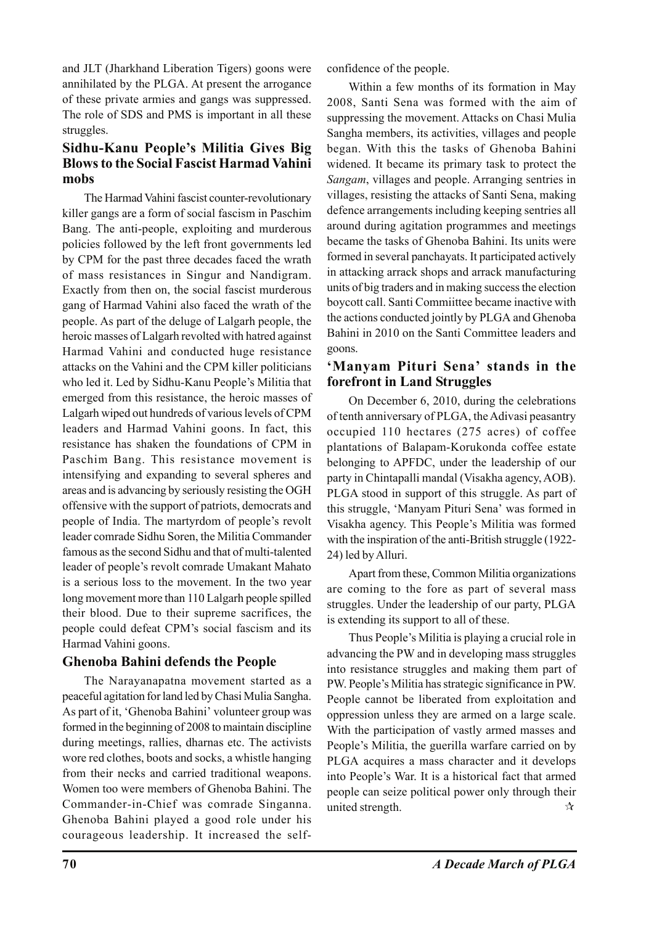and JLT (Jharkhand Liberation Tigers) goons were annihilated by the PLGA. At present the arrogance of these private armies and gangs was suppressed. The role of SDS and PMS is important in all these struggles.

# **Sidhu-Kanu People's Militia Gives Big Blows to the Social Fascist Harmad Vahini mobs**

The Harmad Vahini fascist counter-revolutionary killer gangs are a form of social fascism in Paschim Bang. The anti-people, exploiting and murderous policies followed by the left front governments led by CPM for the past three decades faced the wrath of mass resistances in Singur and Nandigram. Exactly from then on, the social fascist murderous gang of Harmad Vahini also faced the wrath of the people. As part of the deluge of Lalgarh people, the heroic masses of Lalgarh revolted with hatred against Harmad Vahini and conducted huge resistance attacks on the Vahini and the CPM killer politicians who led it. Led by Sidhu-Kanu People's Militia that emerged from this resistance, the heroic masses of Lalgarh wiped out hundreds of various levels of CPM leaders and Harmad Vahini goons. In fact, this resistance has shaken the foundations of CPM in Paschim Bang. This resistance movement is intensifying and expanding to several spheres and areas and is advancing by seriously resisting the OGH offensive with the support of patriots, democrats and people of India. The martyrdom of people's revolt leader comrade Sidhu Soren, the Militia Commander famous as the second Sidhu and that of multi-talented leader of people's revolt comrade Umakant Mahato is a serious loss to the movement. In the two year long movement more than 110 Lalgarh people spilled their blood. Due to their supreme sacrifices, the people could defeat CPM's social fascism and its Harmad Vahini goons.

# **Ghenoba Bahini defends the People**

The Narayanapatna movement started as a peaceful agitation for land led by Chasi Mulia Sangha. As part of it, 'Ghenoba Bahini' volunteer group was formed in the beginning of 2008 to maintain discipline during meetings, rallies, dharnas etc. The activists wore red clothes, boots and socks, a whistle hanging from their necks and carried traditional weapons. Women too were members of Ghenoba Bahini. The Commander-in-Chief was comrade Singanna. Ghenoba Bahini played a good role under his courageous leadership. It increased the selfconfidence of the people.

Within a few months of its formation in May 2008, Santi Sena was formed with the aim of suppressing the movement. Attacks on Chasi Mulia Sangha members, its activities, villages and people began. With this the tasks of Ghenoba Bahini widened. It became its primary task to protect the *Sangam*, villages and people. Arranging sentries in villages, resisting the attacks of Santi Sena, making defence arrangements including keeping sentries all around during agitation programmes and meetings became the tasks of Ghenoba Bahini. Its units were formed in several panchayats. It participated actively in attacking arrack shops and arrack manufacturing units of big traders and in making success the election boycott call. Santi Commiittee became inactive with the actions conducted jointly by PLGA and Ghenoba Bahini in 2010 on the Santi Committee leaders and goons.

### **'Manyam Pituri Sena' stands in the forefront in Land Struggles**

On December 6, 2010, during the celebrations of tenth anniversary of PLGA, the Adivasi peasantry occupied 110 hectares (275 acres) of coffee plantations of Balapam-Korukonda coffee estate belonging to APFDC, under the leadership of our party in Chintapalli mandal (Visakha agency, AOB). PLGA stood in support of this struggle. As part of this struggle, 'Manyam Pituri Sena' was formed in Visakha agency. This People's Militia was formed with the inspiration of the anti-British struggle (1922- 24) led by Alluri.

Apart from these, Common Militia organizations are coming to the fore as part of several mass struggles. Under the leadership of our party, PLGA is extending its support to all of these.

Thus People's Militia is playing a crucial role in advancing the PW and in developing mass struggles into resistance struggles and making them part of PW. People's Militia has strategic significance in PW. People cannot be liberated from exploitation and oppression unless they are armed on a large scale. With the participation of vastly armed masses and People's Militia, the guerilla warfare carried on by PLGA acquires a mass character and it develops into People's War. It is a historical fact that armed people can seize political power only through their united strength.  $\mathbb{R}$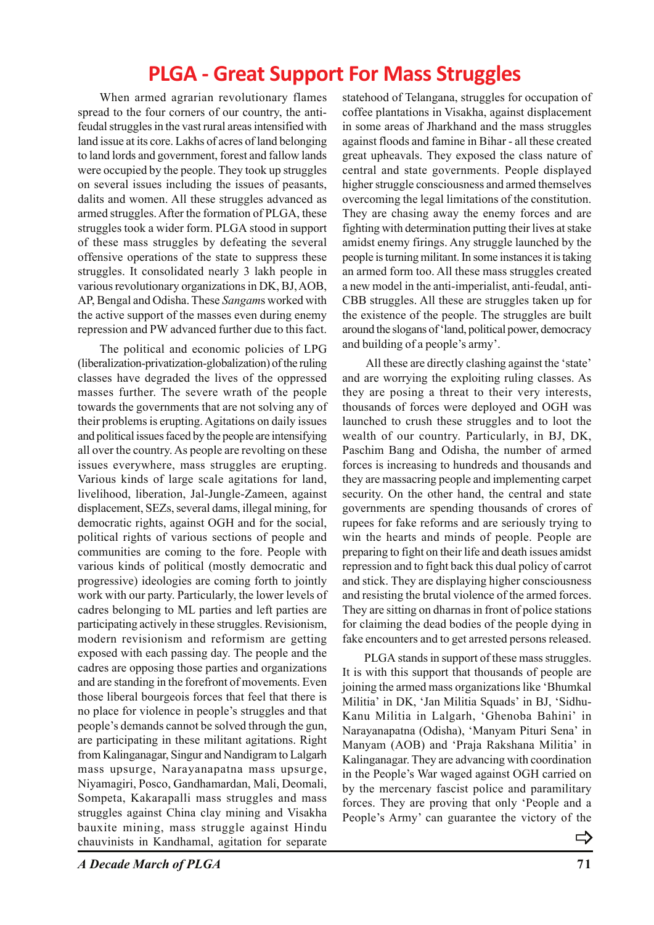# **PLGA - Great Support For Mass Struggles**

When armed agrarian revolutionary flames spread to the four corners of our country, the antifeudal struggles in the vast rural areas intensified with land issue at its core. Lakhs of acres of land belonging to land lords and government, forest and fallow lands were occupied by the people. They took up struggles on several issues including the issues of peasants, dalits and women. All these struggles advanced as armed struggles. After the formation of PLGA, these struggles took a wider form. PLGA stood in support of these mass struggles by defeating the several offensive operations of the state to suppress these struggles. It consolidated nearly 3 lakh people in various revolutionary organizations in DK, BJ, AOB, AP, Bengal and Odisha. These *Sangam*s worked with the active support of the masses even during enemy repression and PW advanced further due to this fact.

The political and economic policies of LPG (liberalization-privatization-globalization) of the ruling classes have degraded the lives of the oppressed masses further. The severe wrath of the people towards the governments that are not solving any of their problems is erupting. Agitations on daily issues and political issues faced by the people are intensifying all over the country. As people are revolting on these issues everywhere, mass struggles are erupting. Various kinds of large scale agitations for land, livelihood, liberation, Jal-Jungle-Zameen, against displacement, SEZs, several dams, illegal mining, for democratic rights, against OGH and for the social, political rights of various sections of people and communities are coming to the fore. People with various kinds of political (mostly democratic and progressive) ideologies are coming forth to jointly work with our party. Particularly, the lower levels of cadres belonging to ML parties and left parties are participating actively in these struggles. Revisionism, modern revisionism and reformism are getting exposed with each passing day. The people and the cadres are opposing those parties and organizations and are standing in the forefront of movements. Even those liberal bourgeois forces that feel that there is no place for violence in people's struggles and that people's demands cannot be solved through the gun, are participating in these militant agitations. Right from Kalinganagar, Singur and Nandigram to Lalgarh mass upsurge, Narayanapatna mass upsurge, Niyamagiri, Posco, Gandhamardan, Mali, Deomali, Sompeta, Kakarapalli mass struggles and mass struggles against China clay mining and Visakha bauxite mining, mass struggle against Hindu chauvinists in Kandhamal, agitation for separate

statehood of Telangana, struggles for occupation of coffee plantations in Visakha, against displacement in some areas of Jharkhand and the mass struggles against floods and famine in Bihar - all these created great upheavals. They exposed the class nature of central and state governments. People displayed higher struggle consciousness and armed themselves overcoming the legal limitations of the constitution. They are chasing away the enemy forces and are fighting with determination putting their lives at stake amidst enemy firings. Any struggle launched by the people is turning militant. In some instances it is taking an armed form too. All these mass struggles created a new model in the anti-imperialist, anti-feudal, anti-CBB struggles. All these are struggles taken up for the existence of the people. The struggles are built around the slogans of 'land, political power, democracy and building of a people's army'.

 All these are directly clashing against the 'state' and are worrying the exploiting ruling classes. As they are posing a threat to their very interests, thousands of forces were deployed and OGH was launched to crush these struggles and to loot the wealth of our country. Particularly, in BJ, DK, Paschim Bang and Odisha, the number of armed forces is increasing to hundreds and thousands and they are massacring people and implementing carpet security. On the other hand, the central and state governments are spending thousands of crores of rupees for fake reforms and are seriously trying to win the hearts and minds of people. People are preparing to fight on their life and death issues amidst repression and to fight back this dual policy of carrot and stick. They are displaying higher consciousness and resisting the brutal violence of the armed forces. They are sitting on dharnas in front of police stations for claiming the dead bodies of the people dying in fake encounters and to get arrested persons released.

PLGA stands in support of these mass struggles. It is with this support that thousands of people are joining the armed mass organizations like 'Bhumkal Militia' in DK, 'Jan Militia Squads' in BJ, 'Sidhu-Kanu Militia in Lalgarh, 'Ghenoba Bahini' in Narayanapatna (Odisha), 'Manyam Pituri Sena' in Manyam (AOB) and 'Praja Rakshana Militia' in Kalinganagar. They are advancing with coordination in the People's War waged against OGH carried on by the mercenary fascist police and paramilitary forces. They are proving that only 'People and a People's Army' can guarantee the victory of the

 $\Rightarrow$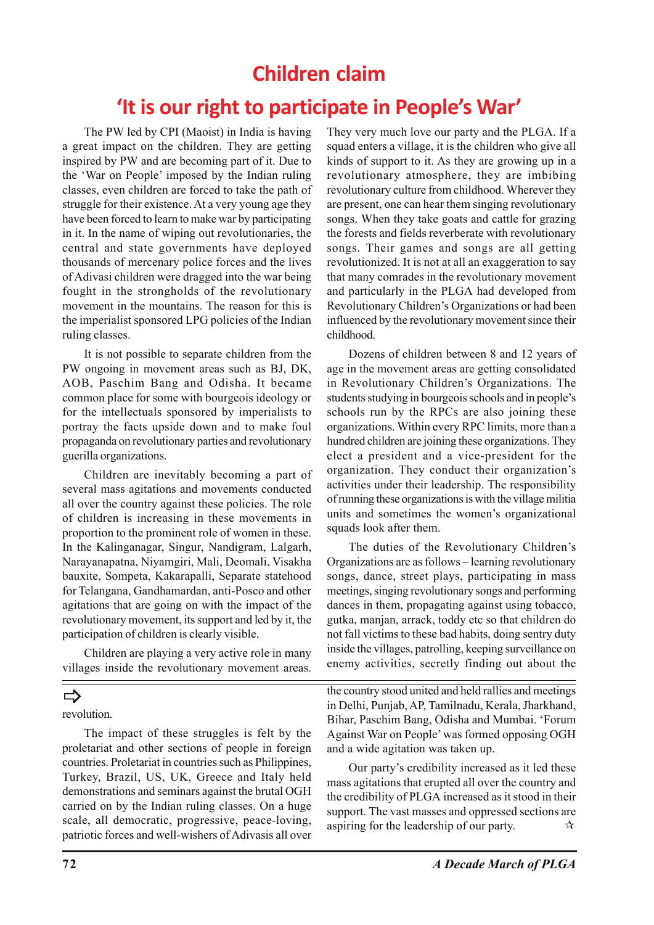# **Children claim**

# **'It is our right to participate in People's War'**

The PW led by CPI (Maoist) in India is having a great impact on the children. They are getting inspired by PW and are becoming part of it. Due to the 'War on People' imposed by the Indian ruling classes, even children are forced to take the path of struggle for their existence. At a very young age they have been forced to learn to make war by participating in it. In the name of wiping out revolutionaries, the central and state governments have deployed thousands of mercenary police forces and the lives of Adivasi children were dragged into the war being fought in the strongholds of the revolutionary movement in the mountains. The reason for this is the imperialist sponsored LPG policies of the Indian ruling classes.

It is not possible to separate children from the PW ongoing in movement areas such as BJ, DK, AOB, Paschim Bang and Odisha. It became common place for some with bourgeois ideology or for the intellectuals sponsored by imperialists to portray the facts upside down and to make foul propaganda on revolutionary parties and revolutionary guerilla organizations.

Children are inevitably becoming a part of several mass agitations and movements conducted all over the country against these policies. The role of children is increasing in these movements in proportion to the prominent role of women in these. In the Kalinganagar, Singur, Nandigram, Lalgarh, Narayanapatna, Niyamgiri, Mali, Deomali, Visakha bauxite, Sompeta, Kakarapalli, Separate statehood for Telangana, Gandhamardan, anti-Posco and other agitations that are going on with the impact of the revolutionary movement, its support and led by it, the participation of children is clearly visible.

Children are playing a very active role in many villages inside the revolutionary movement areas.

# $\Rightarrow$

revolution.

The impact of these struggles is felt by the proletariat and other sections of people in foreign countries. Proletariat in countries such as Philippines, Turkey, Brazil, US, UK, Greece and Italy held demonstrations and seminars against the brutal OGH carried on by the Indian ruling classes. On a huge scale, all democratic, progressive, peace-loving, patriotic forces and well-wishers of Adivasis all over They very much love our party and the PLGA. If a squad enters a village, it is the children who give all kinds of support to it. As they are growing up in a revolutionary atmosphere, they are imbibing revolutionary culture from childhood. Wherever they are present, one can hear them singing revolutionary songs. When they take goats and cattle for grazing the forests and fields reverberate with revolutionary songs. Their games and songs are all getting revolutionized. It is not at all an exaggeration to say that many comrades in the revolutionary movement and particularly in the PLGA had developed from Revolutionary Children's Organizations or had been influenced by the revolutionary movement since their childhood.

Dozens of children between 8 and 12 years of age in the movement areas are getting consolidated in Revolutionary Children's Organizations. The students studying in bourgeois schools and in people's schools run by the RPCs are also joining these organizations. Within every RPC limits, more than a hundred children are joining these organizations. They elect a president and a vice-president for the organization. They conduct their organization's activities under their leadership. The responsibility of running these organizations is with the village militia units and sometimes the women's organizational squads look after them.

The duties of the Revolutionary Children's Organizations are as follows – learning revolutionary songs, dance, street plays, participating in mass meetings, singing revolutionary songs and performing dances in them, propagating against using tobacco, gutka, manjan, arrack, toddy etc so that children do not fall victims to these bad habits, doing sentry duty inside the villages, patrolling, keeping surveillance on enemy activities, secretly finding out about the

the country stood united and held rallies and meetings in Delhi, Punjab, AP, Tamilnadu, Kerala, Jharkhand, Bihar, Paschim Bang, Odisha and Mumbai. 'Forum Against War on People' was formed opposing OGH and a wide agitation was taken up.

Our party's credibility increased as it led these mass agitations that erupted all over the country and the credibility of PLGA increased as it stood in their support. The vast masses and oppressed sections are aspiring for the leadership of our party.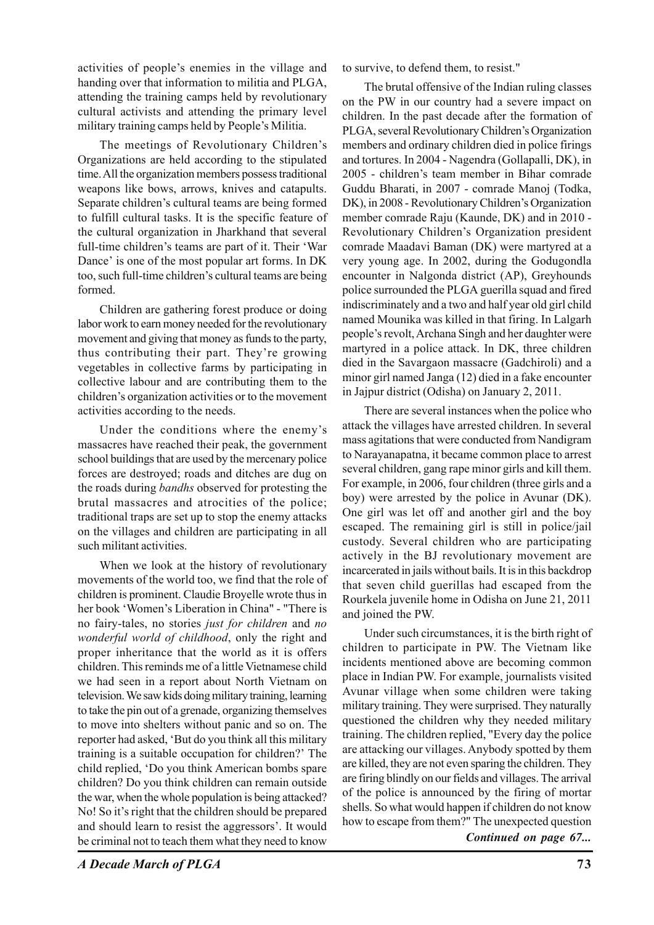activities of people's enemies in the village and handing over that information to militia and PLGA, attending the training camps held by revolutionary cultural activists and attending the primary level military training camps held by People's Militia.

The meetings of Revolutionary Children's Organizations are held according to the stipulated time. All the organization members possess traditional weapons like bows, arrows, knives and catapults. Separate children's cultural teams are being formed to fulfill cultural tasks. It is the specific feature of the cultural organization in Jharkhand that several full-time children's teams are part of it. Their 'War Dance' is one of the most popular art forms. In DK too, such full-time children's cultural teams are being formed.

Children are gathering forest produce or doing labor work to earn money needed for the revolutionary movement and giving that money as funds to the party, thus contributing their part. They're growing vegetables in collective farms by participating in collective labour and are contributing them to the children's organization activities or to the movement activities according to the needs.

Under the conditions where the enemy's massacres have reached their peak, the government school buildings that are used by the mercenary police forces are destroyed; roads and ditches are dug on the roads during *bandhs* observed for protesting the brutal massacres and atrocities of the police; traditional traps are set up to stop the enemy attacks on the villages and children are participating in all such militant activities.

When we look at the history of revolutionary movements of the world too, we find that the role of children is prominent. Claudie Broyelle wrote thus in her book 'Women's Liberation in China" - "There is no fairy-tales, no stories *just for children* and *no wonderful world of childhood*, only the right and proper inheritance that the world as it is offers children. This reminds me of a little Vietnamese child we had seen in a report about North Vietnam on television. We saw kids doing military training, learning to take the pin out of a grenade, organizing themselves to move into shelters without panic and so on. The reporter had asked, 'But do you think all this military training is a suitable occupation for children?' The child replied, 'Do you think American bombs spare children? Do you think children can remain outside the war, when the whole population is being attacked? No! So it's right that the children should be prepared and should learn to resist the aggressors'. It would be criminal not to teach them what they need to know

to survive, to defend them, to resist."

The brutal offensive of the Indian ruling classes on the PW in our country had a severe impact on children. In the past decade after the formation of PLGA, several Revolutionary Children's Organization members and ordinary children died in police firings and tortures. In 2004 - Nagendra (Gollapalli, DK), in 2005 - children's team member in Bihar comrade Guddu Bharati, in 2007 - comrade Manoj (Todka, DK), in 2008 - Revolutionary Children's Organization member comrade Raju (Kaunde, DK) and in 2010 - Revolutionary Children's Organization president comrade Maadavi Baman (DK) were martyred at a very young age. In 2002, during the Godugondla encounter in Nalgonda district (AP), Greyhounds police surrounded the PLGA guerilla squad and fired indiscriminately and a two and half year old girl child named Mounika was killed in that firing. In Lalgarh people's revolt, Archana Singh and her daughter were martyred in a police attack. In DK, three children died in the Savargaon massacre (Gadchiroli) and a minor girl named Janga (12) died in a fake encounter in Jajpur district (Odisha) on January 2, 2011.

There are several instances when the police who attack the villages have arrested children. In several mass agitations that were conducted from Nandigram to Narayanapatna, it became common place to arrest several children, gang rape minor girls and kill them. For example, in 2006, four children (three girls and a boy) were arrested by the police in Avunar (DK). One girl was let off and another girl and the boy escaped. The remaining girl is still in police/jail custody. Several children who are participating actively in the BJ revolutionary movement are incarcerated in jails without bails. It is in this backdrop that seven child guerillas had escaped from the Rourkela juvenile home in Odisha on June 21, 2011 and joined the PW.

Under such circumstances, it is the birth right of children to participate in PW. The Vietnam like incidents mentioned above are becoming common place in Indian PW. For example, journalists visited Avunar village when some children were taking military training. They were surprised. They naturally questioned the children why they needed military training. The children replied, "Every day the police are attacking our villages. Anybody spotted by them are killed, they are not even sparing the children. They are firing blindly on our fields and villages. The arrival of the police is announced by the firing of mortar shells. So what would happen if children do not know how to escape from them?" The unexpected question

*Continued on page 67...*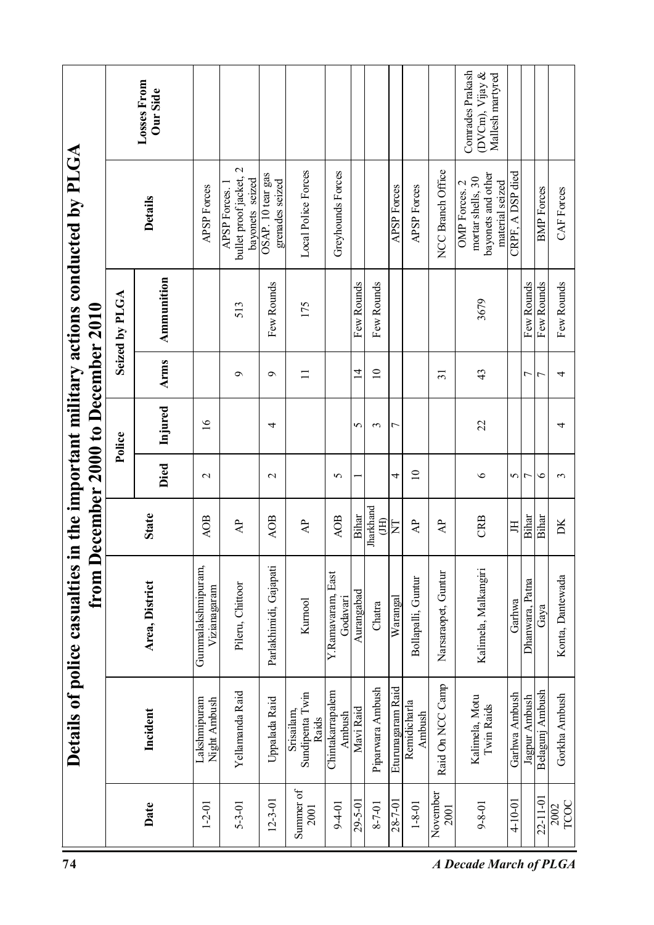| 74                            |                                 |                                       | Details of police casualties<br>from | <b>December 2000 to December 2010</b> |                 |                 |                 |                          | in the important military actions conducted by PLGA                         |                                                         |
|-------------------------------|---------------------------------|---------------------------------------|--------------------------------------|---------------------------------------|-----------------|-----------------|-----------------|--------------------------|-----------------------------------------------------------------------------|---------------------------------------------------------|
|                               |                                 |                                       |                                      |                                       |                 | Police          |                 | Seized by PLGA           |                                                                             |                                                         |
|                               | Date                            | Incident                              | Area, District                       | <b>State</b>                          | <b>Died</b>     | Injured         | Arms            | Ammunition               | <b>Details</b>                                                              | Losses From<br>Our Side                                 |
|                               | $1 - 2 - 01$                    | Lakshmipuram<br>Night Ambush          | Gummalakshmipuram,<br>Vizianagaram   | <b>AOB</b>                            | $\sim$          | $\overline{16}$ |                 |                          | <b>APSP</b> Forces                                                          |                                                         |
|                               | $5 - 3 - 01$                    | Yellamanda Raid                       | Pileru, Chittoor                     | $\overline{A}$                        |                 |                 | $\sigma$        | 513                      | bullet proof jacket, 2<br>bayonets seized<br>APSP Forces.                   |                                                         |
|                               | $12 - 3 - 01$                   | Uppalada Raid                         | Parlakhimidi, Gajapati               | <b>AOB</b>                            | $\sim$          | 4               | $\sigma$        | Few Rounds               | OSAP. 10 tear gas<br>grenades seized                                        |                                                         |
|                               | Summer of<br>2001               | Sundipenta Twin<br>Srisailam<br>Raids | Kurnool                              | $\overline{A}$                        |                 |                 | $\Box$          | 175                      | Local Police Forces                                                         |                                                         |
|                               | $9 - 4 - 01$                    | Chintakarrapalem<br>Ambush            | Y.Ramavaram, East<br>Godavari        | <b>AOB</b>                            | 5               |                 |                 |                          | Greyhounds Forces                                                           |                                                         |
|                               | 29-5-01                         | Mavi Raid                             | Aurangabad                           | <b>Bihar</b>                          |                 | 5               | $\overline{1}$  | Few Rounds               |                                                                             |                                                         |
|                               | $8 - 7 - 01$                    | Piparwara Ambush                      | Chatra                               | Jharkhand<br>(HI)                     |                 | 3               | $\overline{10}$ | Few Rounds               |                                                                             |                                                         |
|                               | 28-7-01                         | Eturunagaram Raid                     | Warangal                             | $\overline{\Xi}$                      | 4               | 7               |                 |                          | <b>APSP</b> Forces                                                          |                                                         |
|                               | $1 - 8 - 01$                    | Remidicharla<br>Ambush                | Bollapalli, Guntur                   | $\mathsf{A}\mathsf{P}$                | $\overline{10}$ |                 |                 |                          | <b>APSP Forces</b>                                                          |                                                         |
|                               | November<br>2001                | Raid On NCC Camp                      | Narsaraopet, Guntur                  | $\overline{A}$                        |                 |                 | $\overline{31}$ |                          | NCC Branch Office                                                           |                                                         |
| <b>A Decade March of PLGA</b> | $9 - 8 - 01$                    | Kalimela, Motu<br>Twin Raids          | Kalimela, Malkangiri                 | CRB                                   | $\bullet$       | 22              | 43              | 3679                     | bayonets and other<br>mortar shells, 30<br>OMP Forces. 2<br>material seized | Conrades Prakash<br>(DVCm), Vijay &<br>Mallesh martyred |
|                               | $4 - 10 - 01$                   | Garhwa Ambush                         | Garhwa                               | 耳                                     | 5               |                 |                 |                          | A DSP died<br>CRPF.                                                         |                                                         |
|                               |                                 | Jagpur Ambush                         | Patna<br>Dhanwara,                   | Bihar                                 | $\overline{ }$  |                 | 7<br>7          | Few Rounds               |                                                                             |                                                         |
|                               | 22-11-01<br><b>TCOC</b><br>2002 | Belagunj Ambush<br>Gorkha Ambush      | Konta, Dantewada<br>Gaya             | Bihar<br>DK                           | $\bullet$<br>3  | 4               | 4               | Few Rounds<br>Few Rounds | <b>BMP</b> Forces<br>CAF Forces                                             |                                                         |
|                               |                                 |                                       |                                      |                                       |                 |                 |                 |                          |                                                                             |                                                         |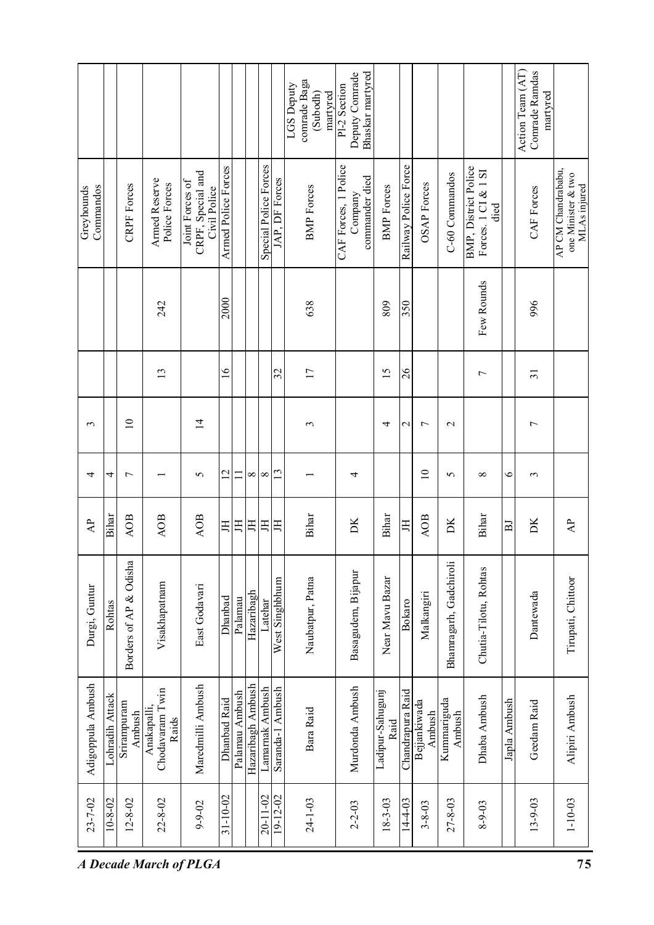|                           |                    |                        |                                         |                                                      |                     |                |                   |                       |                  | comrade Baga<br>LGS Deputy<br>martyred<br>(Subodh) | Pl-2 Section         | Bhaskar martyred<br>Deputy Comrade |                          |                      |                        |                        |                                                                                 |              | Action Team (AT)<br>Comrade Ramdas<br>martyred |                                                          |
|---------------------------|--------------------|------------------------|-----------------------------------------|------------------------------------------------------|---------------------|----------------|-------------------|-----------------------|------------------|----------------------------------------------------|----------------------|------------------------------------|--------------------------|----------------------|------------------------|------------------------|---------------------------------------------------------------------------------|--------------|------------------------------------------------|----------------------------------------------------------|
| Greyhounds<br>Commandos   |                    | <b>CRPF</b> Forces     | Armed Reserve<br>Police Forces          | CRPF, Special and<br>Joint Forces of<br>Civil Police | Armed Police Forces |                |                   | Special Police Forces | JAP, DF Forces   | <b>BMP</b> Forces                                  | CAF Forces, 1 Police | commander died<br>Company          | <b>BMP</b> Forces        | Railway Police Force | <b>OSAP</b> Forces     | C-60 Commandos         | <b>BMP</b> , District Police<br>Forces. $1 \text{ CI}$ & $1 \text{ SI}$<br>died |              | CAF Forces                                     | AP CM Chandrababu,<br>one Minister & two<br>MLAs injured |
|                           |                    |                        | 242                                     |                                                      | 2000                |                |                   |                       |                  | 638                                                |                      |                                    | 809                      | 350                  |                        |                        | Few Rounds                                                                      |              | 996                                            |                                                          |
|                           |                    |                        | 13                                      |                                                      | $\frac{6}{1}$       |                |                   |                       | 32               | 17                                                 |                      |                                    | $\overline{15}$          | $\delta$             |                        |                        | $\overline{ }$                                                                  |              | $\overline{31}$                                |                                                          |
| 3                         |                    | $\overline{10}$        |                                         | $\overline{1}$                                       |                     |                |                   |                       |                  | ξ                                                  |                      |                                    | 4                        | $\mathbf{\sim}$      | $\overline{ }$         | $\mathbf{\sim}$        |                                                                                 |              | $\overline{ }$                                 |                                                          |
| 4                         | 4                  | $\overline{ }$         |                                         | $\sigma$                                             | $\overline{2}$      | Ξ              | $\infty$          | $\infty$              | $\mathbf{13}$    |                                                    |                      | 4                                  |                          |                      | $\supseteq$            | 5                      | $\infty$                                                                        | $\circ$      | $\mathfrak{g}$                                 |                                                          |
| $\mathbf{A}^{\mathbf{p}}$ | Bihar              | <b>AOB</b>             | <b>AOB</b>                              | AOB                                                  | 呂                   | 丐              | 耳                 | 丐                     | 耳                | <b>Bihar</b>                                       |                      | DК                                 | Bihar                    | 耳                    | AOB                    | DК                     | Bihar                                                                           | $_{\rm H}$   | DК                                             | $\mathsf{A}^{\mathsf{P}}$                                |
| Durgi, Guntur             | Rohtas             | Borders of AP & Odisha | Visakhapatnam                           | East Godavari                                        | Dhanbad             | Palamau        | Hazaribagh        | Latehar               | West Singhbhum   | Naubatpur, Patna                                   |                      | Basagudem, Bijapur                 | Near Mavu Bazar          | Bokaro               | Malkangiri             | Bhamragarh, Gadchiroli | Chutia-Tilotu, Rohtas                                                           |              | Dantewada                                      | Tirupati, Chittoor                                       |
| Adigoppula Ambush         | Attack<br>Lohradih | Srirampuram<br>Ambush  | Chodavaram Twin<br>Anakapalli,<br>Raids | Maredmilli Ambush                                    | Dhanbad Raid        | Palamau Ambush | Hazaribagh Ambush | Lamarnak Ambush       | Saranda-1 Ambush | Bara Raid                                          |                      | Murdonda Ambush                    | Ladipur-Sahugunj<br>Raid | Chandrapura Raid     | Bejjankiwada<br>Ambush | Kummariguda<br>Ambush  | Dhaba Ambush                                                                    | Japla Ambush | Geedam Raid                                    | Alipiri Ambush                                           |
| $23 - 7 - 02$             | $10 - 8 - 02$      | $12 - 8 - 02$          | $22 - 8 - 02$                           | $9 - 9 - 02$                                         | $31 - 10 - 02$      |                |                   | $20 - 11 - 02$        | $19 - 12 - 02$   | $24 - 1 - 03$                                      |                      | $2 - 2 - 03$                       | 18-3-03                  | $14 - 4 - 03$        | $3 - 8 - 03$           | $27 - 8 - 03$          | $8 - 9 - 03$                                                                    |              | $13 - 9 - 03$                                  | $1 - 10 - 03$                                            |
|                           |                    |                        | <b>A Decade March of PLGA</b>           |                                                      |                     |                |                   |                       |                  |                                                    |                      |                                    |                          |                      |                        |                        |                                                                                 |              |                                                | 75                                                       |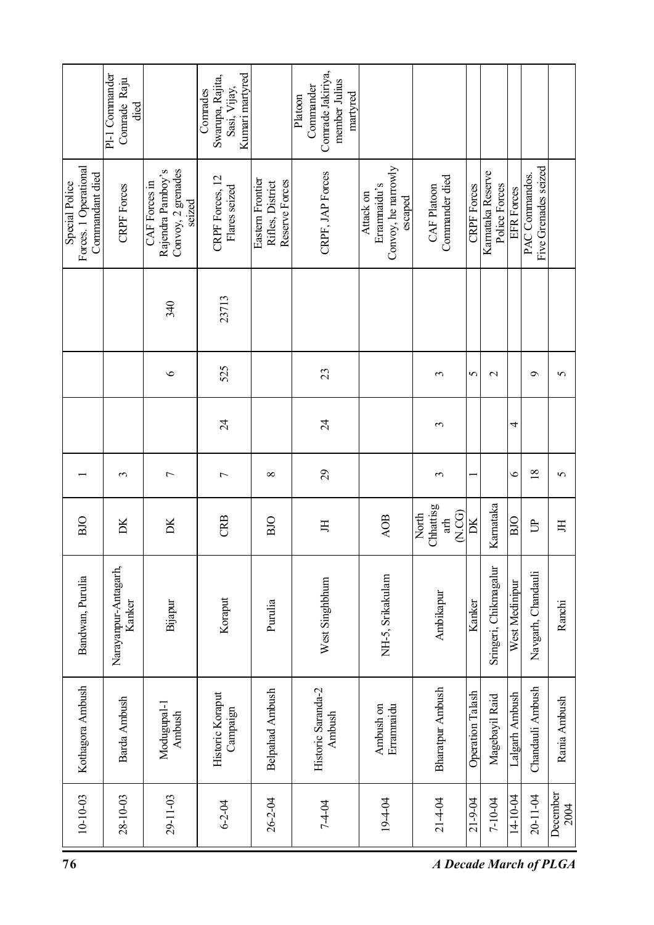|                                                            | PI-1 Commander<br>Comrade Raju<br>died |                                                                    | Kumari martyred<br>Swarupa, Rajita,<br>Sasi, Vijay,<br>Conrades |                                                        | Comrade Jakiriya,<br>member Julius<br>Commander<br>martyred<br>Platoon |                                                             |                                   |                         |                                   |                   |                                        |                  |
|------------------------------------------------------------|----------------------------------------|--------------------------------------------------------------------|-----------------------------------------------------------------|--------------------------------------------------------|------------------------------------------------------------------------|-------------------------------------------------------------|-----------------------------------|-------------------------|-----------------------------------|-------------------|----------------------------------------|------------------|
| Forces. 1 Operational<br>Commandant died<br>Special Police | <b>CRPF</b> Forces                     | Rajendra Pamboy's<br>Convoy, 2 grenades<br>CAF Forces in<br>seized | CRPF Forces, 12<br>Flares seized                                | Eastern Frontier<br>Rifles, District<br>Reserve Forces | CRPF, JAP Forces                                                       | Convoy, he narrowly<br>Errammaidu's<br>Attack on<br>escaped | Commander died<br>CAF Platoon     | <b>CRPF</b> Forces      | Kamataka Reserve<br>Police Forces | <b>EFR</b> Forces | Five Grenades seized<br>PAC Commandos. |                  |
|                                                            |                                        | 340                                                                | 23713                                                           |                                                        |                                                                        |                                                             |                                   |                         |                                   |                   |                                        |                  |
|                                                            |                                        | $\circ$                                                            | 525                                                             |                                                        | 23                                                                     |                                                             | 3                                 | 5                       | $\overline{\mathcal{C}}$          |                   | $\sigma$                               | $\sigma$         |
|                                                            |                                        |                                                                    | $\overline{24}$                                                 |                                                        | $\overline{24}$                                                        |                                                             | 3                                 |                         |                                   | 4                 |                                        |                  |
|                                                            | 3                                      | $\overline{ }$                                                     | $\overline{ }$                                                  | ${}^{\circ}$                                           | $\mathcal{Q}$                                                          |                                                             | 3                                 |                         |                                   | $\bullet$         | $\overline{18}$                        | $\sigma$         |
| BJO                                                        | DК                                     | DК                                                                 | CRB                                                             | BJO                                                    | 丐                                                                      | AOB                                                         | Chhattisg<br>N.CG<br>North<br>ath | DK                      | Karnataka                         | BIO               | $\mathbb{B}$                           | 呂                |
| Bandwan, Purulia                                           | Narayanpur-Antagarh,<br>Kanker         | Bijapur                                                            | Koraput                                                         | Purulia                                                | West Singhbhum                                                         | NH-5, Srikakulam                                            | Ambikapur                         | Kanker                  | Sringeri, Chikmagalur             | West Medinipur    | Navgarh, Chandauli                     | Ranchi           |
| Kothagora Ambush                                           | Barda Ambush                           | Modugupal-1<br>Ambush                                              | Historic Koraput<br>Campaign                                    | <b>Belpahad Ambush</b>                                 | Historic Saranda-2<br>Ambush                                           | Ambush on<br>Errammaidu                                     | Bharatpur Ambush                  | <b>Operation Talash</b> | Magebayil Raid                    | Lalgarh Ambush    | Chandauli Ambush                       | Rania Ambush     |
| $10 - 10 - 03$                                             | $28 - 10 - 03$                         | $29 - 11 - 03$                                                     | $6 - 2 - 04$                                                    | 26-2-04                                                | 7-4-04                                                                 | 19-4-04                                                     | $21 - 4 - 04$                     | $21 - 9 - 04$           | 7-10-04                           | 14-10-04          | 20-11-04                               | December<br>2004 |
| 76                                                         |                                        |                                                                    |                                                                 |                                                        |                                                                        |                                                             | <b>A Decade March of PLGA</b>     |                         |                                   |                   |                                        |                  |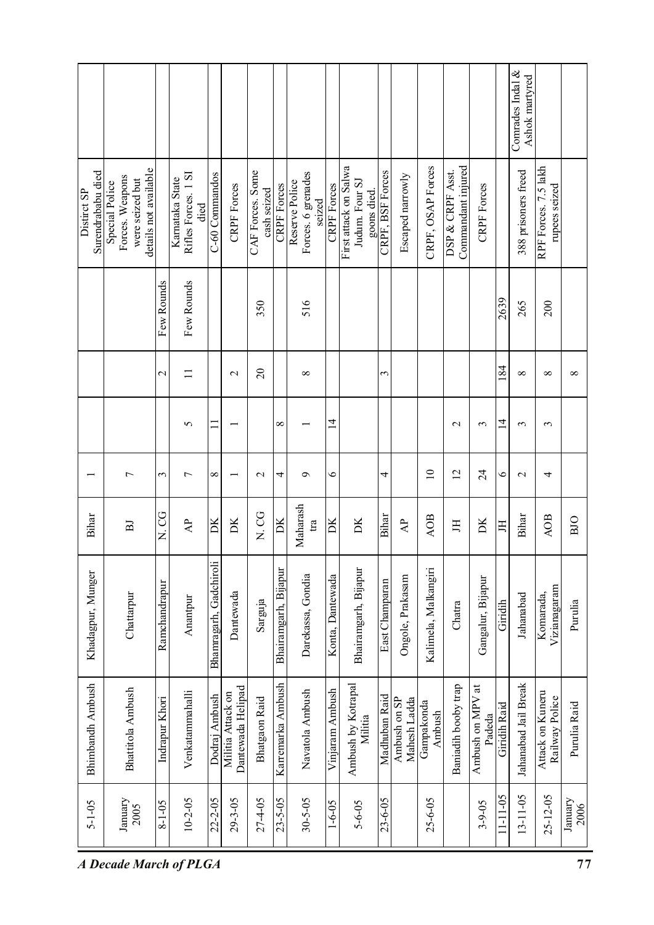| RPF Forces. 7.5 lakh<br>First attack on Salwa<br>CRPF, OSAP Forces<br>Commandant injured<br>details not available<br>CAF Forces. Some<br>388 prisoners freed<br>CRPF, BSF Forces<br>DSP & CRPF Asst.<br>Surendrababu died<br>Forces. 6 grenades<br>C-60 Commandos<br>Rifles Forces. 1 SI<br>Escaped narrowly<br>Forces. Weapons<br>Karnataka State<br>were seized but<br>Reserve Police<br>Judum. Four SJ<br>Special Police<br><b>CRPF</b> Forces<br>rupees seized<br><b>CRPF</b> Forces<br><b>CRPF</b> Forces<br><b>CRPF</b> Forces<br>cash seized<br>Distirct SP<br>goons died<br>seized<br>died<br>Few Rounds<br>Few Rounds<br>2639<br>516<br>350<br>265<br>200<br>84<br>$\Omega$<br>$\mathbf{1}$<br>$\mathbf{\Omega}$<br>$\infty$<br>$\mathbf{\sim}$<br>3<br>$\infty$<br>$\infty$<br>$\overline{4}$<br>브<br>$\mathbf{\sim}$<br>5<br>∞<br>$\sim$<br>3<br>$\epsilon$<br>$\overline{10}$<br>$\overline{2}$<br>$\overline{24}$<br>$\circ$<br>$\overline{ }$<br>3<br>$\overline{ }$<br>$\infty$<br>4<br>ç<br>∘<br>4<br>4<br>$\mathbf{\sim}$<br>$\mathbf{\Omega}$<br>Maharash<br>N. CG<br>U<br>N.U<br>Bihar<br>Bihar<br>Bihar<br><b>AOB</b><br>AOB<br>$\overline{\mathbf{D}}$ K<br>tra<br>DК<br>DК<br>$\overline{A}$<br>DК<br>$\mathsf{A}^{\mathsf{P}}$<br>ĎК<br>DК<br>耳<br>$_{\rm H}$<br>呂<br>Giridih<br>Chatra |                   |            |               |          |                        |           |         |                      |                   |                  |                      |                |                  |                      |                   | Comrades Indal &<br>Ashok martyred |                           |              |
|----------------------------------------------------------------------------------------------------------------------------------------------------------------------------------------------------------------------------------------------------------------------------------------------------------------------------------------------------------------------------------------------------------------------------------------------------------------------------------------------------------------------------------------------------------------------------------------------------------------------------------------------------------------------------------------------------------------------------------------------------------------------------------------------------------------------------------------------------------------------------------------------------------------------------------------------------------------------------------------------------------------------------------------------------------------------------------------------------------------------------------------------------------------------------------------------------------------------------------------------------------------------------------------------------------------|-------------------|------------|---------------|----------|------------------------|-----------|---------|----------------------|-------------------|------------------|----------------------|----------------|------------------|----------------------|-------------------|------------------------------------|---------------------------|--------------|
|                                                                                                                                                                                                                                                                                                                                                                                                                                                                                                                                                                                                                                                                                                                                                                                                                                                                                                                                                                                                                                                                                                                                                                                                                                                                                                                |                   |            |               |          |                        |           |         |                      |                   |                  |                      |                |                  |                      |                   |                                    |                           |              |
|                                                                                                                                                                                                                                                                                                                                                                                                                                                                                                                                                                                                                                                                                                                                                                                                                                                                                                                                                                                                                                                                                                                                                                                                                                                                                                                |                   |            |               |          |                        |           |         |                      |                   |                  |                      |                |                  |                      |                   |                                    |                           |              |
|                                                                                                                                                                                                                                                                                                                                                                                                                                                                                                                                                                                                                                                                                                                                                                                                                                                                                                                                                                                                                                                                                                                                                                                                                                                                                                                |                   |            |               |          |                        |           |         |                      |                   |                  |                      |                |                  |                      |                   |                                    |                           | $\infty$     |
|                                                                                                                                                                                                                                                                                                                                                                                                                                                                                                                                                                                                                                                                                                                                                                                                                                                                                                                                                                                                                                                                                                                                                                                                                                                                                                                |                   |            |               |          |                        |           |         |                      |                   |                  |                      |                |                  |                      |                   |                                    |                           |              |
|                                                                                                                                                                                                                                                                                                                                                                                                                                                                                                                                                                                                                                                                                                                                                                                                                                                                                                                                                                                                                                                                                                                                                                                                                                                                                                                |                   |            |               |          |                        |           |         |                      |                   |                  |                      |                |                  |                      |                   |                                    |                           |              |
|                                                                                                                                                                                                                                                                                                                                                                                                                                                                                                                                                                                                                                                                                                                                                                                                                                                                                                                                                                                                                                                                                                                                                                                                                                                                                                                |                   |            |               |          |                        |           |         |                      |                   |                  |                      |                |                  |                      |                   |                                    |                           | BJO          |
|                                                                                                                                                                                                                                                                                                                                                                                                                                                                                                                                                                                                                                                                                                                                                                                                                                                                                                                                                                                                                                                                                                                                                                                                                                                                                                                | Khadagpur, Munger | Chattarpur | Ramchandrapur | Anantpur | Bhamragarh, Gadchiroli | Dantewada | Sarguja | Bhairamgarh, Bijapur | Darekassa, Gondia | Konta, Dantewada | Bhairamgarh, Bijapur | East Champaran | Ongole, Prakasam | Kalimela, Malkangiri | Gangalur, Bijapur | Jahanabad                          | Vizianagaram<br>Komarada, | Purulia      |
| Karremarka Ambush<br>Jahanabad Jail Break<br><b>Bhimbandh Ambush</b><br>Ambush by Kotrapal<br>Baniadih booby trap<br>Ambush on MPV at<br>Dantewada Helipad<br><b>Bhattitola Ambush</b><br>Vinjaram Ambush<br>Navatola Ambush<br>Venkatammahalli<br>Attack on Kuneru<br>Militia Attack on<br>Dodraj Ambush<br>Madhuban Raid<br>Railway Police<br>Indrapur Khori<br>Bhatgaon Raid<br>Ambush on SP<br>Mahesh Ladda<br>Gampakonda<br>Giridih Raid<br>Ambush<br>Padeda<br>Militia                                                                                                                                                                                                                                                                                                                                                                                                                                                                                                                                                                                                                                                                                                                                                                                                                                   |                   |            |               |          |                        |           |         |                      |                   |                  |                      |                |                  |                      |                   |                                    |                           | Purulia Raid |
| $11 - 11 - 05$<br>$13 - 11 - 05$<br>$25 - 12 - 05$<br>$10 - 2 - 05$<br>22-2-05<br>$27 - 4 - 05$<br>$23 - 5 - 05$<br>$30 - 5 - 05$<br>$29 - 3 - 05$<br>$23 - 6 - 05$<br>$25 - 6 - 05$<br>January<br>January<br>$5 - 1 - 05$<br>$8 - 1 - 05$<br>$1 - 6 - 05$<br>$3 - 9 - 05$<br>$5 - 6 - 05$<br>2005<br><b>A Decade March of PLGA</b>                                                                                                                                                                                                                                                                                                                                                                                                                                                                                                                                                                                                                                                                                                                                                                                                                                                                                                                                                                            |                   |            |               |          |                        |           |         |                      |                   |                  |                      |                |                  |                      |                   |                                    |                           | 2006<br>77   |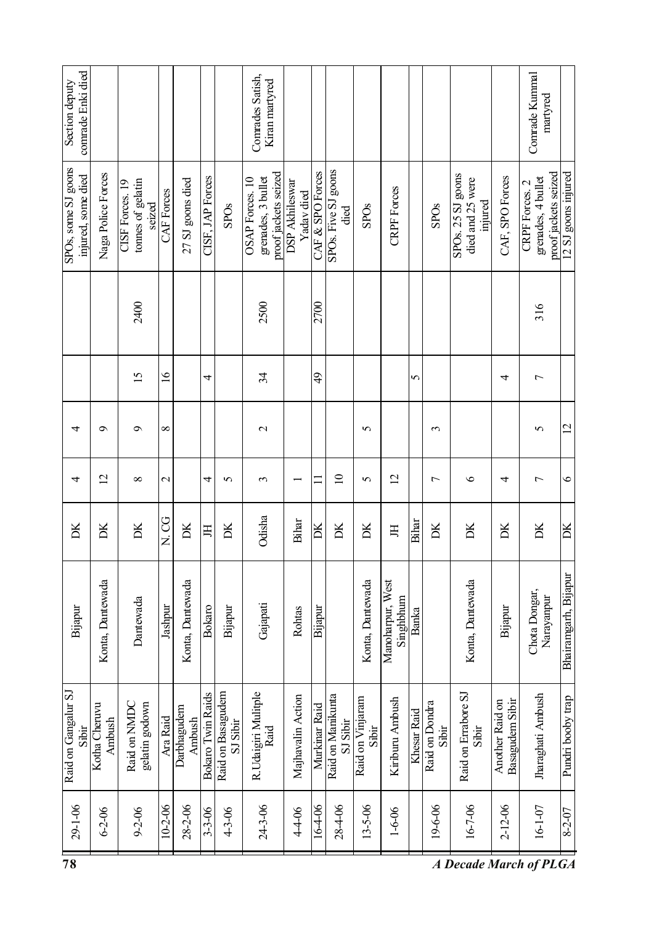| 78                                        |                         |                                                |               |                           |                   |                               |                                                               |                              |                  |                               |                           |                               |                |                         | A Decade March of PLGA                           |                                    |                                                              |                      |
|-------------------------------------------|-------------------------|------------------------------------------------|---------------|---------------------------|-------------------|-------------------------------|---------------------------------------------------------------|------------------------------|------------------|-------------------------------|---------------------------|-------------------------------|----------------|-------------------------|--------------------------------------------------|------------------------------------|--------------------------------------------------------------|----------------------|
| $29 - 1 - 06$                             | $6 - 2 - 06$            | $9 - 2 - 06$                                   | $10 - 2 - 06$ | $28 - 2 - 06$             | $3 - 3 - 06$      | $4 - 3 - 06$                  | 24-3-06                                                       | 44-06                        | 16-4-06          | 28-4-06                       | $13 - 5 - 06$             | $1 - 6 - 06$                  |                | 19-6-06                 | 16-7-06                                          | $2 - 12 - 06$                      | $16 - 1 - 07$                                                | 8-2-07               |
| Raid on Gangalur SJ<br>Sibir              | Kotha Cheruvu<br>Ambush | Raid on NMDC<br>gelatin godown                 | Ara Raid      | Darbhagudem<br>Ambush     | Bokaro Twin Raids | Raid on Basagudem<br>SJ Sibir | R. Udaigiri Mulitple<br>Raid                                  | Majhavalin Action            | Murkinar Raid    | Raid on Manikunta<br>SJ Sibir | Raid on Vinjaram<br>Sibir | Kiriburu Ambush               | Khesar Raid    | Raid on Dondra<br>Sibir | Raid on Errabore SJ<br>Sibir                     | Basagudem Sibir<br>Another Raid on | Jharaghati Ambush                                            | Pundri booby trap    |
| Bijapur                                   | Konta, Dantewada        | Dantewada                                      | Jashpur       | Konta, Dantewada          | <b>Bokaro</b>     | Bijapur                       | Gajapati                                                      | Rohtas                       | Bijapur          |                               | Konta, Dantewada          | Manoharpur, West<br>Singhbhum | Banka          |                         | Konta, Dantewada                                 | Bijapur                            | Chota Dongar,<br>Narayanpur                                  | Bhairamgarh, Bijapur |
| DК                                        | Ж                       | DК                                             | U<br>N<br>O   | $\overline{\rm \bf{D}}$ K | H                 | DК                            | Odisha                                                        | Bihar                        | DK               | DК                            | DК                        | Ħ                             | Bihar          | DК                      | DК                                               | DК                                 | DК                                                           | DK                   |
| 4                                         | $\overline{2}$          | $\infty$                                       | $\mathcal{L}$ |                           | 4                 | 5                             | 3                                                             |                              | $\equiv$         | $\supseteq$                   | 5                         | $\overline{c}$                |                | $\overline{ }$          | $\circ$                                          | 4                                  | 1                                                            | $\circ$              |
| 4                                         | $\sigma$                | $\sigma$                                       | $\infty$      |                           |                   |                               | $\mathcal{L}$                                                 |                              |                  |                               | 5                         |                               |                | 3                       |                                                  |                                    | 5                                                            | 12                   |
|                                           |                         | $\overline{15}$                                | $\frac{6}{2}$ |                           | 4                 |                               | 34                                                            |                              | ₽                |                               |                           |                               | $\overline{5}$ |                         |                                                  | 4                                  | $\overline{ }$                                               |                      |
|                                           |                         | 2400                                           |               |                           |                   |                               | 2500                                                          |                              | 2700             |                               |                           |                               |                |                         |                                                  |                                    | 316                                                          |                      |
| SPOs, some SJ goons<br>injured, some died | Naga Police Forces      | tonnes of gelatin<br>CISF Forces. 19<br>serzed | CAF Forces    | 27 SJ goons died          | CISF, JAP Forces  | <b>SPOs</b>                   | proof jackets seized<br>grenades, 3 bullet<br>OSAP Forces. 10 | DSP Akhileswar<br>Yadav died | CAF & SPO Forces | SPOs. Five SJ goons<br>died   | <b>SPOs</b>               | <b>CRPF</b> Forces            |                | <b>SPOs</b>             | SPOs. 25 SJ goons<br>died and 25 were<br>injured | CAF, SPO Forces                    | proof jackets seized<br>grenades, 4 bullet<br>CRPF Forces. 2 | 12 SJ goons injured  |
| comrade Enki died<br>Section deputy       |                         |                                                |               |                           |                   |                               | Conrades Satish,<br>Kiran martyred                            |                              |                  |                               |                           |                               |                |                         |                                                  |                                    | Conrade Kummal<br>martyred                                   |                      |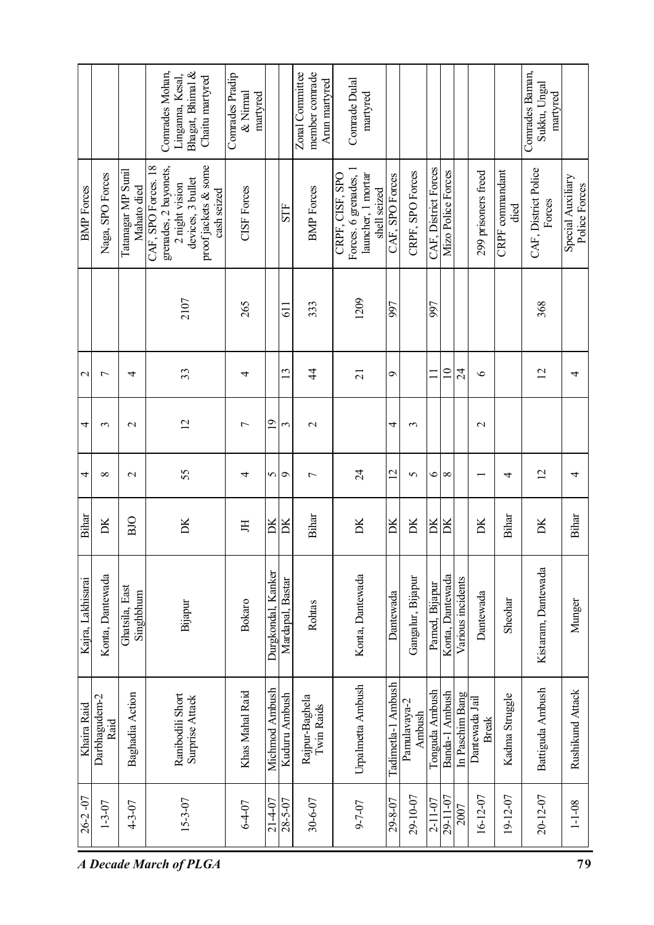|                   |                       |                                   | Comrades Mohan,<br>Bhagat, Bhimal &<br>Linganna, Kesal,<br>Chaitu martyred                                                 | Comrades Pradip<br>& Nirmal<br>martyred |                    |                  | Zonal Committee<br>member comrade<br>Arun martyred | Conrade Dulal<br>martyred                                                      |                       |                        |                          |                    |                   |                                |                         | Conrades Baman,<br>Sukku, Ungal<br>martyred |                                    |
|-------------------|-----------------------|-----------------------------------|----------------------------------------------------------------------------------------------------------------------------|-----------------------------------------|--------------------|------------------|----------------------------------------------------|--------------------------------------------------------------------------------|-----------------------|------------------------|--------------------------|--------------------|-------------------|--------------------------------|-------------------------|---------------------------------------------|------------------------------------|
| <b>BMP</b> Forces | Naga, SPO Forces      | Tatanagar MP Sunil<br>Mahato died | CAF, SPO Forces. 18<br>grenades, 2 bayonets,<br>proof jackets & some<br>devices, 3 bullet<br>2 night vision<br>cash seized | <b>CISF</b> Forces                      |                    | <b>STF</b>       | <b>BMP</b> Forces                                  | Forces. 6 grenades, 1<br>launcher, 1 mortar<br>CRPF, CISF, SPO<br>shell seized | CAF, SPO Forces       | CRPF, SPO Forces       | CAF, District Forces     | Mizo Police Forces |                   | 299 prisoners freed            | CRPF commandant<br>died | CAF, District Police<br>Forces              | Special Auxiliary<br>Police Forces |
|                   |                       |                                   | 2107                                                                                                                       | 265                                     |                    | 51               | 333                                                | 1209                                                                           | 997                   |                        | <b>L66</b>               |                    |                   |                                |                         | 368                                         |                                    |
| $\mathcal{L}$     | 7                     | 4                                 | 33                                                                                                                         | 4                                       |                    | $\overline{13}$  | $\overline{4}$                                     | $\overline{21}$                                                                | $\sigma$              |                        | $\overline{\phantom{0}}$ | $\approx$          | 24                | $\circ$                        |                         | $\overline{2}$                              | 4                                  |
| 4                 | 3                     | $\mathbf{\sim}$                   | $\overline{2}$                                                                                                             | $\overline{ }$                          | $\overline{0}$     | 3                | $\mathbf{\sim}$                                    |                                                                                | 4                     | 3                      |                          |                    |                   | $\mathbf{C}$                   |                         |                                             |                                    |
| 4                 | ∞                     | $\mathbf 2$                       | 55                                                                                                                         | 4                                       | 5                  | $\sigma$         | $\overline{ }$                                     | $\overline{24}$                                                                | $\overline{2}$        | 5                      | $\circ$                  | $\infty$           |                   |                                | 4                       | $\overline{2}$                              | 4                                  |
| Bihar             | DК                    | BIO                               | DK                                                                                                                         | 呂                                       | $\mathbb{R}$       | DК               | Bihar                                              | DК                                                                             | DK                    | DK                     | DК                       | DК                 |                   | ĎК                             | Bihar                   | DK                                          | Bihar                              |
| Kajra, Lakhisarai | Konta, Dantewada      | Ghatsila, East<br>Singhbhum       | Bijapur                                                                                                                    | <b>Bokaro</b>                           | Durgkondal, Kanker | Mardapal, Bastar | Rohtas                                             | Konta, Dantewada                                                               | Dantewada             | Gangalur, Bijapur      | Pamed, Bijapur           | Konta, Dantewada   | Various incidents | Dantewada                      | Sheohar                 | Kistaram, Dantewada                         | Munger                             |
| Khaira Raid       | Darbhagudem-2<br>Raid | Baghadia Action                   | Ranibodili Short<br><b>Surprise Attack</b>                                                                                 | Khas Mahal Raid                         | Michmod Ambush     | Kuduru Ambush    | Rajpur-Baghela<br><b>Twin Raids</b>                | Urpalmetta Ambush                                                              | Ambush<br>Tadimetla-1 | Pamulavaya-2<br>Ambush | Tonguda Ambush           | Banda-1 Ambush     | In Paschim Bang   | Dantewada Jail<br><b>Break</b> | Kadma Struggle          | Battiguda Ambush                            | Rushikund Attack                   |
| $26 - 2 - 07$     | $1 - 3 - 07$          | $4 - 3 - 07$                      | 15-3-07                                                                                                                    | $6 - 4 - 07$                            | 21-4-07            | $28 - 5 - 07$    | 30-6-07                                            | 9-7-07                                                                         | 29-8-07               | 29-10-07               | $2 - 11 - 07$            | 29-11-07           | 2007              | $16 - 12 - 07$                 | 19-12-07                | 20-12-07                                    | $1 - 1 - 08$                       |
|                   |                       |                                   | <b>A Decade March of PLGA</b>                                                                                              |                                         |                    |                  |                                                    |                                                                                |                       |                        |                          |                    |                   |                                |                         |                                             | 79                                 |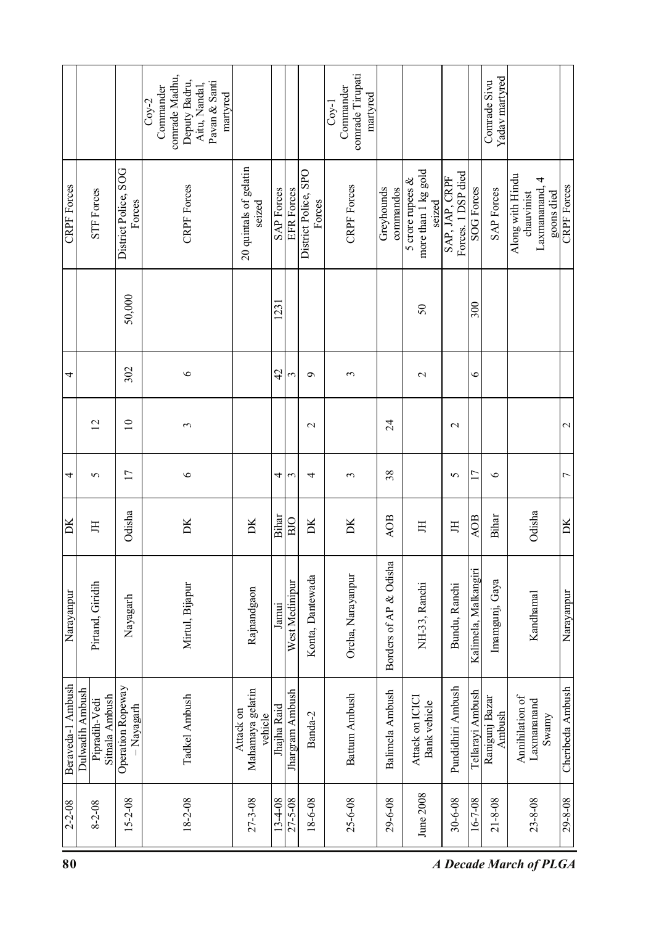|                    |                                                    |                                | comrade Madhu,<br>Deputy Badru,<br>Pavan & Santi<br>Aitu, Nandal,<br>Commander<br>martyred<br>$Coy-2$ |                                          |                   |                   |                                | comrade Tirupati<br>Commander<br>martyred<br>$Cov-1$ |                         |                                                      |                                      |                      | Yadav martyred<br>Comrade Sivu |                                |                                 |                    |
|--------------------|----------------------------------------------------|--------------------------------|-------------------------------------------------------------------------------------------------------|------------------------------------------|-------------------|-------------------|--------------------------------|------------------------------------------------------|-------------------------|------------------------------------------------------|--------------------------------------|----------------------|--------------------------------|--------------------------------|---------------------------------|--------------------|
| <b>CRPF</b> Forces | <b>STF Forces</b>                                  | District Police, SOG<br>Forces | <b>CRPF</b> Forces                                                                                    | 20 quintals of gelatin<br>serzed         | <b>SAP</b> Forces | <b>EFR</b> Forces | District Police, SPO<br>Forces | <b>CRPF</b> Forces                                   | Greyhounds<br>commandos | more than 1 kg gold<br>5 crore rupees $\&$<br>seized | Forces. 1 DSP died<br>SAP, JAP, CRPF | <b>SOG</b> Forces    | <b>SAP Forces</b>              | Along with Hindu<br>chauvinist | 4<br>Laxmananand,<br>goons died | <b>CRPF</b> Forces |
|                    |                                                    | 50,000                         |                                                                                                       |                                          | 1231              |                   |                                |                                                      |                         | 50                                                   |                                      | $\approx 00$         |                                |                                |                                 |                    |
| 4                  |                                                    | 302                            | $\circ$                                                                                               |                                          | 42                | 3                 | $\sigma$                       | 3                                                    |                         | $\mathbf{\sim}$                                      |                                      | $\bullet$            |                                |                                |                                 |                    |
|                    | $\overline{2}$                                     | $\overline{10}$                | 3                                                                                                     |                                          |                   |                   | $\mathbf 2$                    |                                                      | $\overline{24}$         |                                                      | $\mathbf{\sim}$                      |                      |                                |                                |                                 | $\mathbf 2$        |
| 4                  | 5                                                  | $\overline{17}$                | $\circ$                                                                                               |                                          | 4                 | 3                 | 4                              | 3                                                    | 38                      |                                                      | 5                                    | $\overline{17}$      | $\circ$                        |                                |                                 | $\overline{ }$     |
| DК                 | 耳                                                  | Odisha                         | DК                                                                                                    | DК                                       | Bihar             | BIO               | DК                             | DК                                                   | <b>AOB</b>              | 呂                                                    | Ħ                                    | <b>AOB</b>           | Bihar                          | Odisha                         |                                 | DK                 |
| Narayanpur         | Pirtand, Giridih                                   | Nayagarh                       | Mirtul, Bijapur                                                                                       | Rajnandgaon                              | Jamui             | West Medinipur    | Konta, Dantewada               | Orcha, Narayanpur                                    | Borders of AP & Odisha  | NH-33, Ranchi                                        | Bundu, Ranchi                        | Kalimela, Malkangiri | Imamgunj, Gaya                 | Kandhamal                      |                                 | Narayanpur         |
| Beraveda-1 Ambush  | Dulwadih Ambush<br>Sitnala Ambush<br>Pipradih-Vedi | Operation Ropeway<br>-Nayagarh | Tadkel Ambush                                                                                         | Mahamaya gelatin<br>Attack on<br>vehicle | Jhajha Raid       | Jhargram Ambush   | Banda-2                        | <b>Battum Ambush</b>                                 | Balimela Ambush         | Attack on ICICI<br>Bank vehicle                      | Pundidhiri Ambush                    | Tellarayi Ambush     | Ranigunj Bazar<br>Ambush       | Annihilation of<br>Laxmananand | Swamy                           | Cheribeda Ambush   |
| $2 - 2 - 08$       | $8 - 2 - 08$                                       | 15-2-08                        | 18-2-08                                                                                               | 27-3-08                                  | 13-4-08           | $27 - 5 - 08$     | 18-6-08                        | $25 - 6 - 08$                                        | 29-6-08                 | June 2008                                            | 30-6-08                              | $16 - 7 - 08$        | $21 - 8 - 08$                  | $23 - 8 - 08$                  |                                 | 29-8-08            |
| 80                 |                                                    |                                |                                                                                                       |                                          |                   |                   |                                |                                                      |                         |                                                      |                                      |                      |                                | <b>A Decade March of PLGA</b>  |                                 |                    |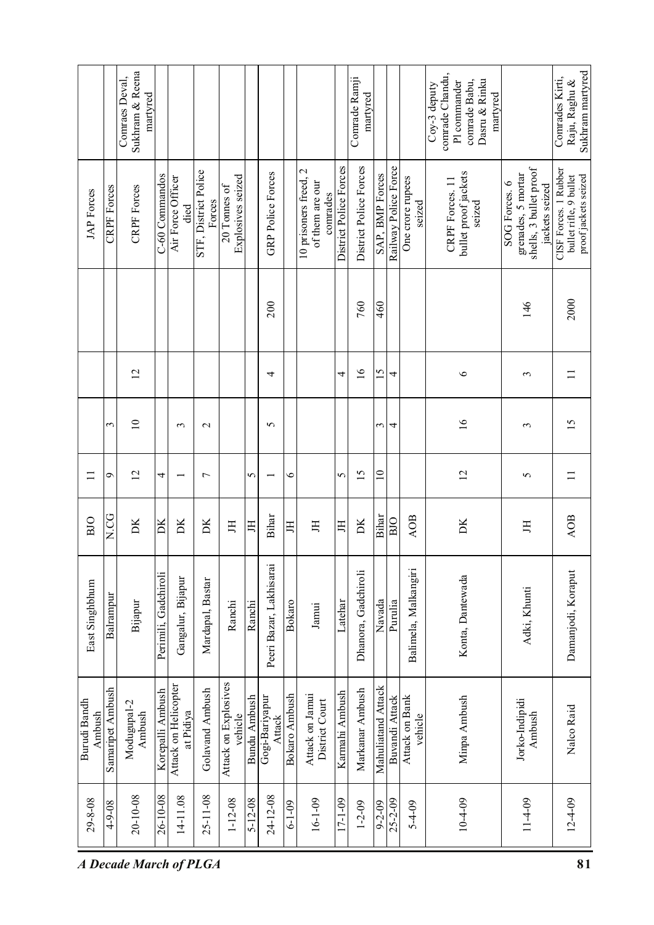| Sukhram & Reena<br>comrade Chandu,<br>Comraes Deval,<br>Comrade Ramji<br>Railway Police Force<br>District Police Forces<br>District Police Forces<br>shells, 3 bullet proof<br>10 prisoners freed, 2<br>STF, District Police<br><b>GRP Police Forces</b><br>bullet proof jackets<br>grenades, 5 mortar<br>C-60 Commandos<br>SAP, BMP Forces<br>Explosives seized<br>Air Force Officer<br>One crore rupees<br>CRPF Forces. 11<br>of them are our<br>SOG Forces. 6<br>20 Tonnes of<br><b>CRPF</b> Forces<br><b>CRPF</b> Forces<br><b>JAP</b> Forces<br>comrades<br>Forces<br>seized<br>seized<br>died<br>146<br>200<br>760<br>460 | Sukhram martyred<br>Comrades Kirti,<br>Raju, Raghu &                                      |
|---------------------------------------------------------------------------------------------------------------------------------------------------------------------------------------------------------------------------------------------------------------------------------------------------------------------------------------------------------------------------------------------------------------------------------------------------------------------------------------------------------------------------------------------------------------------------------------------------------------------------------|-------------------------------------------------------------------------------------------|
|                                                                                                                                                                                                                                                                                                                                                                                                                                                                                                                                                                                                                                 | CISF Forces. 1 Rubber<br>proof jackets seized<br>bullet rifle, 9 bullet<br>jackets seized |
|                                                                                                                                                                                                                                                                                                                                                                                                                                                                                                                                                                                                                                 | 2000                                                                                      |
| $\overline{2}$<br>$\overline{16}$<br>$\overline{15}$<br>4<br>$\circ$<br>$\infty$<br>4<br>4                                                                                                                                                                                                                                                                                                                                                                                                                                                                                                                                      | $\equiv$                                                                                  |
| 16<br>$\overline{10}$<br>3<br>$\infty$<br>3<br>$\mathbf 2$<br>5<br>3<br>4                                                                                                                                                                                                                                                                                                                                                                                                                                                                                                                                                       | 15                                                                                        |
| $\overline{15}$<br>$\supseteq$<br>$\overline{c}$<br>$\overline{2}$<br>5<br>$\Box$<br>P<br>4<br>$\circ$<br>5<br>$\overline{ }$<br>5                                                                                                                                                                                                                                                                                                                                                                                                                                                                                              | $\Box$                                                                                    |
| N.CG<br>Bihar<br>Bihar<br><b>AOB</b><br>BJO<br>BIO<br>DK<br>DX<br>DK<br>DК<br>DК<br>DК<br>H<br>H<br>耳<br>呂<br>呂<br>丐                                                                                                                                                                                                                                                                                                                                                                                                                                                                                                            | <b>AOB</b>                                                                                |
| Peeri Bazar, Lakhisarai<br>Balimela, Malkangiri<br>Dhanora, Gadchiroli<br>Perimili, Gadchiroli<br>Konta, Dantewada<br>Gangalur, Bijapur<br>Mardapal, Bastar<br>East Singhbhum<br>Adki, Khunti<br>Balrampur<br>Latehar<br>Navada<br>Ranchi<br>Bijapur<br>Ranchi<br>Bokaro<br>Purulia<br>Jamui                                                                                                                                                                                                                                                                                                                                    | Damanjodi, Koraput                                                                        |
| Attack on Explosives<br>Attack on Helicopter<br>Mahuliatand Attack<br>Samaripet Ambush<br>Korepalli Ambush<br>Golavand Ambush<br>Markanar Ambush<br>Karmahi Ambush<br>Bokaro Ambush<br>Attack on Jamui<br>Minpa Ambush<br><b>Bundu Ambush</b><br>Gogi-Bariyapur<br>Attack on Bank<br>Buvandi Attack<br>Jorko-Indipidi<br>Burudi Bandh<br>District Court<br>Modugupal-2<br>Ambush<br>at Pidiya<br>Ambush<br>Ambush<br>vehicle<br>vehicle<br>Attack                                                                                                                                                                               | Nalco Raid                                                                                |
| 26-10-08<br>20-10-08<br>$25 - 11 - 08$<br>14-11.08<br>24-12-08<br>104-09<br>29-8-08<br>$1 - 12 - 08$<br>$5 - 12 - 08$<br>16-1-09<br>17-1-09<br>$25 - 2 - 09$<br>$114 - 09$<br>$6 - 1 - 09$<br>$1 - 2 - 09$<br>$5 - 4 - 09$<br>$4 - 9 - 08$<br>$60 - 7 - 6$<br>A Decade March of PLGA                                                                                                                                                                                                                                                                                                                                            | $12 - 4 - 09$<br>81                                                                       |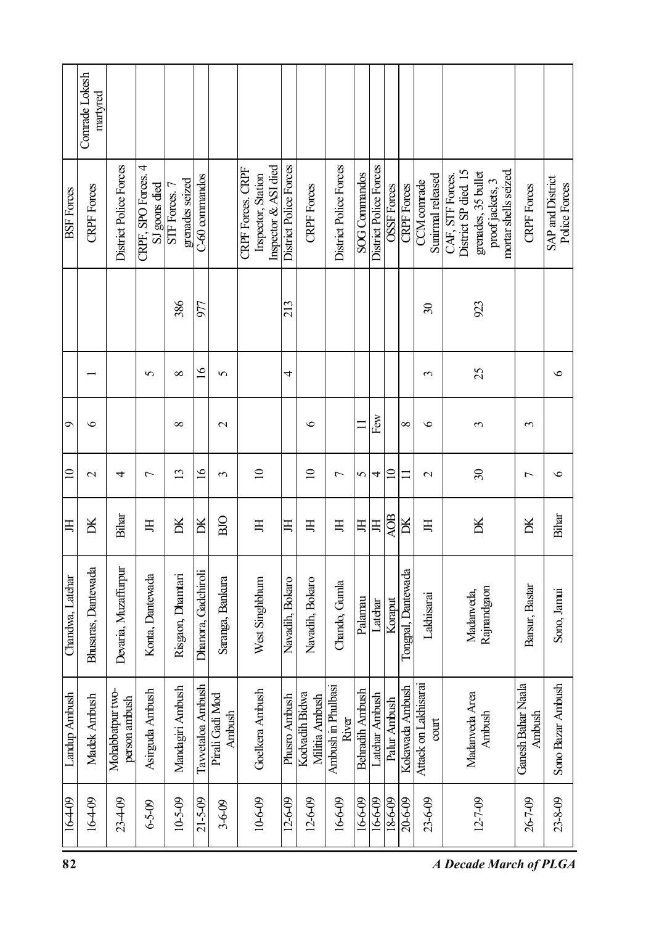|                   | Comrade Lokesh<br>martyred |                                   |                                      |                                  |                         |                           |                                                                 |                        |                                  |                             |                      |                        |                    |                    |                                        |                                                                                                            |                              |                                   |
|-------------------|----------------------------|-----------------------------------|--------------------------------------|----------------------------------|-------------------------|---------------------------|-----------------------------------------------------------------|------------------------|----------------------------------|-----------------------------|----------------------|------------------------|--------------------|--------------------|----------------------------------------|------------------------------------------------------------------------------------------------------------|------------------------------|-----------------------------------|
| <b>BSF</b> Forces | <b>CRPF</b> Forces         | District Police Forces            | CRPF, SPO Forces. 4<br>SJ goons died | grenades seized<br>STF Forces. 7 | C-60 commandos          |                           | Inspector & ASI died<br>CRPF Forces. CRPF<br>Inspector, Station | District Police Forces | <b>CRPF</b> Forces               | District Police Forces      | <b>SOG</b> Commandos | District Police Forces | <b>OSSF</b> Forces | <b>CRPF</b> Forces | Sunirmal released<br>CCM conrade       | District SP died. 15<br>mortar shells seized<br>grenades, 35 bullet<br>CAF, STF Forces<br>proof jackets, 3 | <b>CRPF</b> Forces           | SAP and District<br>Police Forces |
|                   |                            |                                   |                                      | 386                              | 977                     |                           |                                                                 | 213                    |                                  |                             |                      |                        |                    |                    | $\overline{\mathcal{E}}$               | 923                                                                                                        |                              |                                   |
|                   |                            |                                   | $\sigma$                             | $\infty$                         | $\overline{6}$          | $\mathbf{v}$              |                                                                 | 4                      |                                  |                             |                      |                        |                    |                    | 3                                      | 25                                                                                                         |                              | $\bullet$                         |
| Ó                 | $\bullet$                  |                                   |                                      | $\infty$                         |                         | $\mathbf{\sim}$           |                                                                 |                        | $\bullet$                        |                             | Ξ                    | Few                    |                    | $\infty$           | $\circ$                                | 3                                                                                                          | 3                            |                                   |
| $\supseteq$       | $\mathbf{\sim}$            | 4                                 | $\overline{ }$                       | $\overline{13}$                  | $\overline{9}$          | $\mathfrak{g}$            | $\overline{10}$                                                 |                        | $\Omega$                         | $\overline{ }$              | 5                    | 4                      | $\Xi$              | Ξ                  | $\mathbf{\sim}$                        | $\mathcal{S}$                                                                                              | $\overline{ }$               | $\circ$                           |
| 耳                 | DК                         | Bihar                             | 呂                                    | DК                               | $\overline{\mathbb{R}}$ | BIO                       | 耳                                                               | 耳                      | Ħ                                | 耳                           | 耳                    | 耳                      | <b>AOB</b>         | Ж                  | 耳                                      | Ж                                                                                                          | DК                           | Bihar                             |
| Chandwa, Latehar  | Bhusaras, Dantewada        | Devaria, Muzaffurpur              | Konta, Dantewada                     | Risgaon, Dhamtari                | Dhanora, Gadchiroli     | Saranga, Bankura          | West Singhbhum                                                  | Navadih, Bokaro        | Navadih, Bokaro                  | Chando, Gumla               | Palamau              | Latehar                | Koraput            | Tongpal, Dantewada | Lakhisarai                             | Rajnandgaon<br>Madanveda,                                                                                  | Barsur, Bastar               | Sono, Jamui                       |
| Landup Ambush     | Madek Ambush               | Mohabbatpur two-<br>person ambush | Asirguda Ambush                      | Mandagiri Ambush                 | Tavvetaloa Ambush       | Pirali Gadi Mod<br>Ambush | Goelkera Ambush                                                 | Phusro Ambush          | Kodvadih Bidwa<br>Militia Ambush | Ambush in Phulbasi<br>River | Behradih Ambush      | Latehar Ambush         | Palur Ambush       | Kokawada Ambush    | Attack on Lakhisarai<br>$\text{count}$ | Madanyeda Area<br>Ambush                                                                                   | Ganesh Bahar Naala<br>Ambush | Sono Bazar Ambush                 |
| 164-09            | 164-09                     | $23 - 09$                         | $6 - 5 - 09$                         | 10-5-09                          | $21 - 5 - 09$           | $3 - 6 - 09$              | 10-6-09                                                         | 12-6-09                | $12 - 6 - 09$                    | 16-6-09                     | 16-6-09              | 16-6-09                | $18 - 6 - 09$      | 20-6-09            | 23-6-09                                | $12 - 7 - 09$                                                                                              | 26-7-09                      | $23 - 8 - 09$                     |
| 82                |                            |                                   |                                      |                                  |                         |                           |                                                                 |                        |                                  |                             |                      |                        |                    |                    |                                        | <b>A Decade March of PLGA</b>                                                                              |                              |                                   |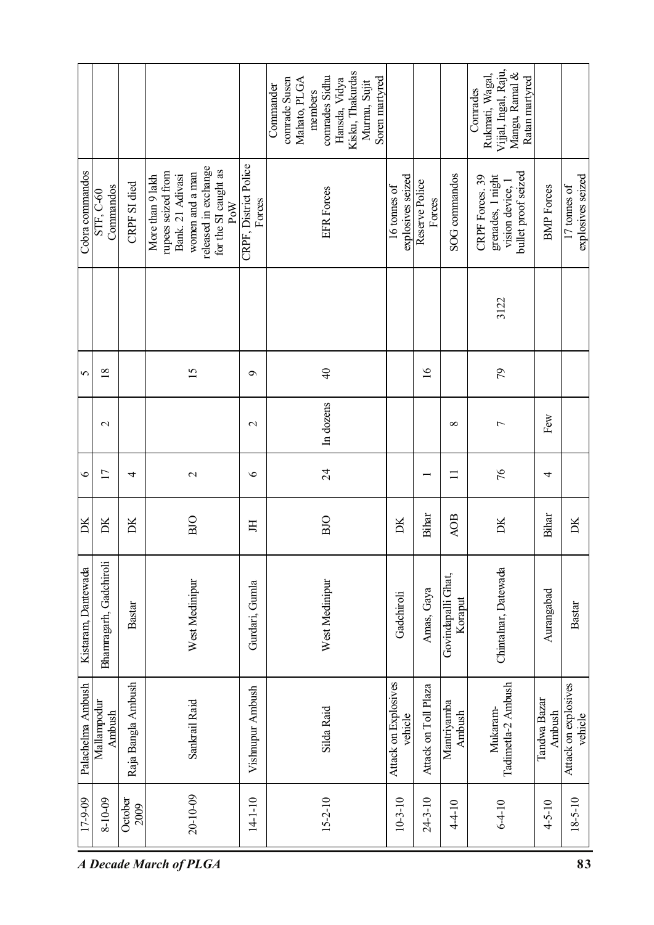|                               | 17-9-09         | Palachelma Ambush               | Kistaram, Dantewada           | DK         | $\bullet$         |                | $\sigma$        |      | Cobra commandos                                                                                                                      |                                                                                                                                                |
|-------------------------------|-----------------|---------------------------------|-------------------------------|------------|-------------------|----------------|-----------------|------|--------------------------------------------------------------------------------------------------------------------------------------|------------------------------------------------------------------------------------------------------------------------------------------------|
|                               | 8-10-09         | Mallampodur<br>Ambush           | Bhamragarh, Gadchiroli        | DК         | $\overline{11}$   | $\mathbf{C}$   | $\frac{8}{18}$  |      | Commandos<br>STF, C-60                                                                                                               |                                                                                                                                                |
|                               | October<br>2009 | Raja Bangla Ambush              | <b>Bastar</b>                 | DK         | 4                 |                |                 |      | CRPF SI died                                                                                                                         |                                                                                                                                                |
| <b>A Decade March of PLGA</b> | $20 - 10 - 09$  | Sankrail Raid                   | West Medinipur                | BJO        | $\mathbf{\Omega}$ |                | $\overline{15}$ |      | released in exchange<br>for the SI caught as<br>rupees seized from<br>women and a man<br>Bank. 21 Adivasi<br>More than 9 lakh<br>PoW |                                                                                                                                                |
|                               | $14 - 10$       | Vishnupur Ambush                | Gurdari, Gumla                | 耳          | $\bullet$         | $\mathcal{L}$  | $\sigma$        |      | CRPF, District Police<br>Forces                                                                                                      |                                                                                                                                                |
|                               | $15 - 2 - 10$   | Silda Raid                      | West Medinipur                | BIO        | $\overline{24}$   | In dozens      | $\frac{1}{2}$   |      | <b>EFR</b> Forces                                                                                                                    | Kisku, Thakurdas<br>comrades Sidhu<br>comrade Susen<br>Soren martyred<br>Mahato, PLGA<br>Hansda, Vidya<br>Murmu, Sujit<br>Commander<br>members |
|                               | $10-3-10$       | Attack on Explosives<br>vehicle | Gadchiroli                    | DК         |                   |                |                 |      | explosives seized<br>16 tonnes of                                                                                                    |                                                                                                                                                |
|                               | $24 - 3 - 10$   | Attack on Toll Plaza            | Amas, Gaya                    | Bihar      |                   |                | $\overline{16}$ |      | Reserve Police<br>Forces                                                                                                             |                                                                                                                                                |
|                               | $4 - 10$        | Mantriyamba<br>Ambush           | Govindapalli Ghat,<br>Koraput | <b>AOB</b> | $\Box$            | ${}^{\circ}$   |                 |      | <b>SOG</b> commandos                                                                                                                 |                                                                                                                                                |
|                               | $6 - 4 - 10$    | Tadimetla-2 Ambush<br>Mukaram-  | Chintalnar, Datewada          | DK         | 76                | $\overline{ }$ | $\mathcal{E}$   | 3122 | bullet proof seized<br>CRPF Forces. 39<br>grenades, 1 night<br>vision device, 1                                                      | Vijjal, Ingal, Raju,<br>Rukmati, Wagal,<br>Mangu, Ramal &<br>Ratan martyred<br>Conrades                                                        |
|                               | $4 - 5 - 10$    | Tandwa Bazar<br>Ambush          | Aurangabad                    | Bihar      | 4                 | Few            |                 |      | <b>BMP</b> Forces                                                                                                                    |                                                                                                                                                |
| 83                            | $18 - 5 - 10$   | Attack on explosives<br>vehicle | Bastar                        | DК         |                   |                |                 |      | explosives seized<br>17 tonnes of                                                                                                    |                                                                                                                                                |